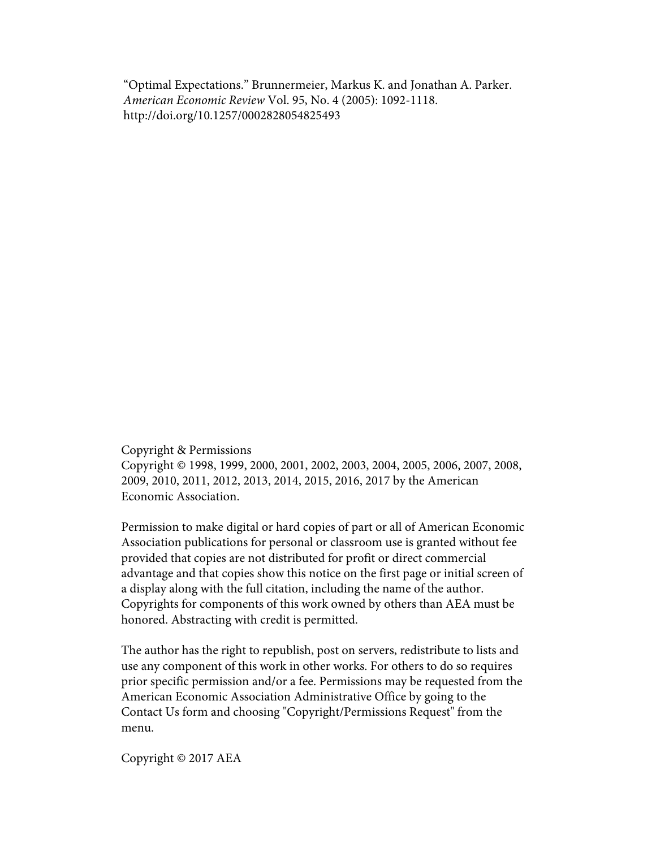["Optimal Expectations." Brunnermeier, Markus K. and Jonathan A. Parker.](http://doi.org/10.1257/0002828054825493)  *American Economic Review* Vol. 95, No. 4 (2005): 1092-1118. http://doi.org/10.1257/0002828054825493

#### Copyright & Permissions

Copyright © 1998, 1999, 2000, 2001, 2002, 2003, 2004, 2005, 2006, 2007, 2008, 2009, 2010, 2011, 2012, 2013, 2014, 2015, 2016, 2017 by the American Economic Association.

Permission to make digital or hard copies of part or all of American Economic Association publications for personal or classroom use is granted without fee provided that copies are not distributed for profit or direct commercial advantage and that copies show this notice on the first page or initial screen of a display along with the full citation, including the name of the author. Copyrights for components of this work owned by others than AEA must be honored. Abstracting with credit is permitted.

The author has the right to republish, post on servers, redistribute to lists and use any component of this work in other works. For others to do so requires prior specific permission and/or a fee. Permissions may be requested from the American Economic Association Administrative Office by going to the Contact Us form and choosing "Copyright/Permissions Request" from the menu.

Copyright © 2017 AEA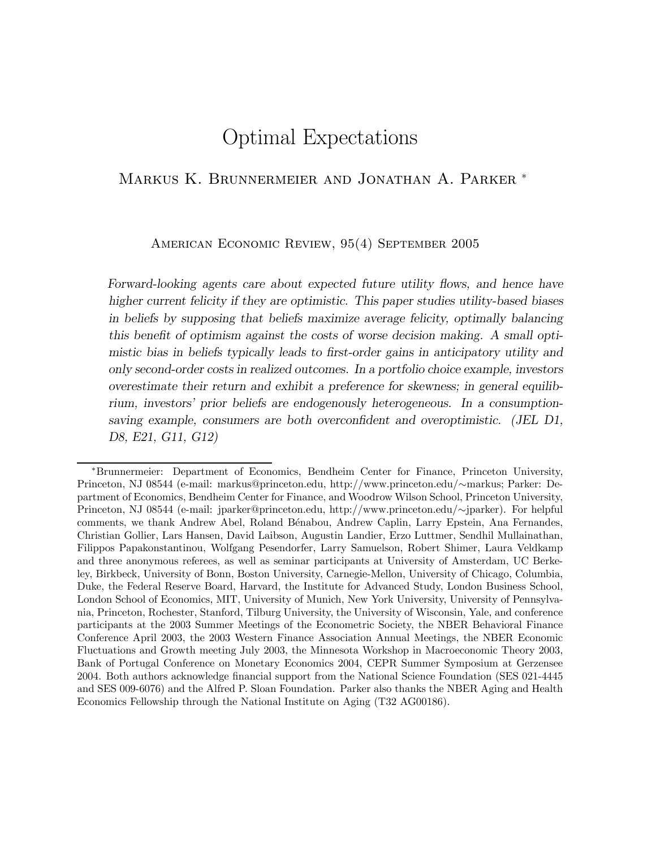# Optimal Expectations

## Markus K. Brunnermeier and Jonathan A. Parker <sup>∗</sup>

American Economic Review, 95(4) September 2005

Forward-looking agents care about expected future utility flows, and hence have higher current felicity if they are optimistic. This paper studies utility-based biases in beliefs by supposing that beliefs maximize average felicity, optimally balancing this benefit of optimism against the costs of worse decision making. A small optimistic bias in beliefs typically leads to first-order gains in anticipatory utility and only second-order costs in realized outcomes. In a portfolio choice example, investors overestimate their return and exhibit a preference for skewness; in general equilibrium, investors' prior beliefs are endogenously heterogeneous. In a consumptionsaving example, consumers are both overconfident and overoptimistic. (JEL D1, D8, E21, G11, G12)

<sup>∗</sup>Brunnermeier: Department of Economics, Bendheim Center for Finance, Princeton University, Princeton, NJ 08544 (e-mail: markus@princeton.edu, http://www.princeton.edu/∼markus; Parker: Department of Economics, Bendheim Center for Finance, and Woodrow Wilson School, Princeton University, Princeton, NJ 08544 (e-mail: jparker@princeton.edu, http://www.princeton.edu/∼jparker). For helpful comments, we thank Andrew Abel, Roland Bénabou, Andrew Caplin, Larry Epstein, Ana Fernandes, Christian Gollier, Lars Hansen, David Laibson, Augustin Landier, Erzo Luttmer, Sendhil Mullainathan, Filippos Papakonstantinou, Wolfgang Pesendorfer, Larry Samuelson, Robert Shimer, Laura Veldkamp and three anonymous referees, as well as seminar participants at University of Amsterdam, UC Berkeley, Birkbeck, University of Bonn, Boston University, Carnegie-Mellon, University of Chicago, Columbia, Duke, the Federal Reserve Board, Harvard, the Institute for Advanced Study, London Business School, London School of Economics, MIT, University of Munich, New York University, University of Pennsylvania, Princeton, Rochester, Stanford, Tilburg University, the University of Wisconsin, Yale, and conference participants at the 2003 Summer Meetings of the Econometric Society, the NBER Behavioral Finance Conference April 2003, the 2003 Western Finance Association Annual Meetings, the NBER Economic Fluctuations and Growth meeting July 2003, the Minnesota Workshop in Macroeconomic Theory 2003, Bank of Portugal Conference on Monetary Economics 2004, CEPR Summer Symposium at Gerzensee 2004. Both authors acknowledge financial support from the National Science Foundation (SES 021-4445 and SES 009-6076) and the Alfred P. Sloan Foundation. Parker also thanks the NBER Aging and Health Economics Fellowship through the National Institute on Aging (T32 AG00186).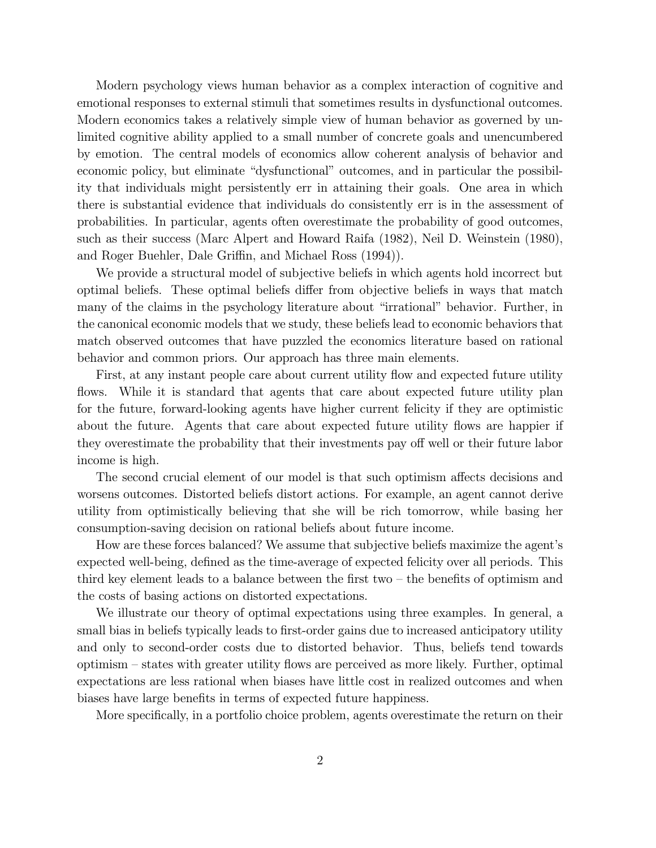Modern psychology views human behavior as a complex interaction of cognitive and emotional responses to external stimuli that sometimes results in dysfunctional outcomes. Modern economics takes a relatively simple view of human behavior as governed by unlimited cognitive ability applied to a small number of concrete goals and unencumbered by emotion. The central models of economics allow coherent analysis of behavior and economic policy, but eliminate "dysfunctional" outcomes, and in particular the possibility that individuals might persistently err in attaining their goals. One area in which there is substantial evidence that individuals do consistently err is in the assessment of probabilities. In particular, agents often overestimate the probability of good outcomes, such as their success (Marc Alpert and Howard Raifa (1982), Neil D. Weinstein (1980), and Roger Buehler, Dale Griffin, and Michael Ross (1994)).

We provide a structural model of subjective beliefs in which agents hold incorrect but optimal beliefs. These optimal beliefs differ from objective beliefs in ways that match many of the claims in the psychology literature about "irrational" behavior. Further, in the canonical economic models that we study, these beliefs lead to economic behaviors that match observed outcomes that have puzzled the economics literature based on rational behavior and common priors. Our approach has three main elements.

First, at any instant people care about current utility flow and expected future utility flows. While it is standard that agents that care about expected future utility plan for the future, forward-looking agents have higher current felicity if they are optimistic about the future. Agents that care about expected future utility flows are happier if they overestimate the probability that their investments pay off well or their future labor income is high.

The second crucial element of our model is that such optimism affects decisions and worsens outcomes. Distorted beliefs distort actions. For example, an agent cannot derive utility from optimistically believing that she will be rich tomorrow, while basing her consumption-saving decision on rational beliefs about future income.

How are these forces balanced? We assume that subjective beliefs maximize the agent's expected well-being, defined as the time-average of expected felicity over all periods. This third key element leads to a balance between the first two — the benefits of optimism and the costs of basing actions on distorted expectations.

We illustrate our theory of optimal expectations using three examples. In general, a small bias in beliefs typically leads to first-order gains due to increased anticipatory utility and only to second-order costs due to distorted behavior. Thus, beliefs tend towards optimism — states with greater utility flows are perceived as more likely. Further, optimal expectations are less rational when biases have little cost in realized outcomes and when biases have large benefits in terms of expected future happiness.

More specifically, in a portfolio choice problem, agents overestimate the return on their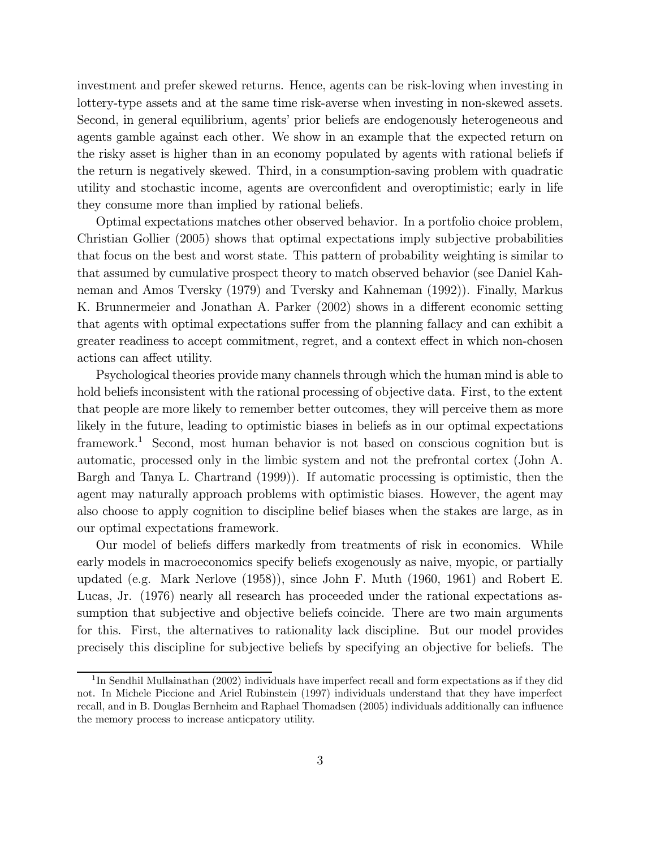investment and prefer skewed returns. Hence, agents can be risk-loving when investing in lottery-type assets and at the same time risk-averse when investing in non-skewed assets. Second, in general equilibrium, agents' prior beliefs are endogenously heterogeneous and agents gamble against each other. We show in an example that the expected return on the risky asset is higher than in an economy populated by agents with rational beliefs if the return is negatively skewed. Third, in a consumption-saving problem with quadratic utility and stochastic income, agents are overconfident and overoptimistic; early in life they consume more than implied by rational beliefs.

Optimal expectations matches other observed behavior. In a portfolio choice problem, Christian Gollier (2005) shows that optimal expectations imply subjective probabilities that focus on the best and worst state. This pattern of probability weighting is similar to that assumed by cumulative prospect theory to match observed behavior (see Daniel Kahneman and Amos Tversky (1979) and Tversky and Kahneman (1992)). Finally, Markus K. Brunnermeier and Jonathan A. Parker (2002) shows in a different economic setting that agents with optimal expectations suffer from the planning fallacy and can exhibit a greater readiness to accept commitment, regret, and a context effect in which non-chosen actions can affect utility.

Psychological theories provide many channels through which the human mind is able to hold beliefs inconsistent with the rational processing of objective data. First, to the extent that people are more likely to remember better outcomes, they will perceive them as more likely in the future, leading to optimistic biases in beliefs as in our optimal expectations framework.<sup>1</sup> Second, most human behavior is not based on conscious cognition but is automatic, processed only in the limbic system and not the prefrontal cortex (John A. Bargh and Tanya L. Chartrand (1999)). If automatic processing is optimistic, then the agent may naturally approach problems with optimistic biases. However, the agent may also choose to apply cognition to discipline belief biases when the stakes are large, as in our optimal expectations framework.

Our model of beliefs differs markedly from treatments of risk in economics. While early models in macroeconomics specify beliefs exogenously as naive, myopic, or partially updated (e.g. Mark Nerlove (1958)), since John F. Muth (1960, 1961) and Robert E. Lucas, Jr. (1976) nearly all research has proceeded under the rational expectations assumption that subjective and objective beliefs coincide. There are two main arguments for this. First, the alternatives to rationality lack discipline. But our model provides precisely this discipline for subjective beliefs by specifying an objective for beliefs. The

<sup>&</sup>lt;sup>1</sup>In Sendhil Mullainathan (2002) individuals have imperfect recall and form expectations as if they did not. In Michele Piccione and Ariel Rubinstein (1997) individuals understand that they have imperfect recall, and in B. Douglas Bernheim and Raphael Thomadsen (2005) individuals additionally can influence the memory process to increase anticpatory utility.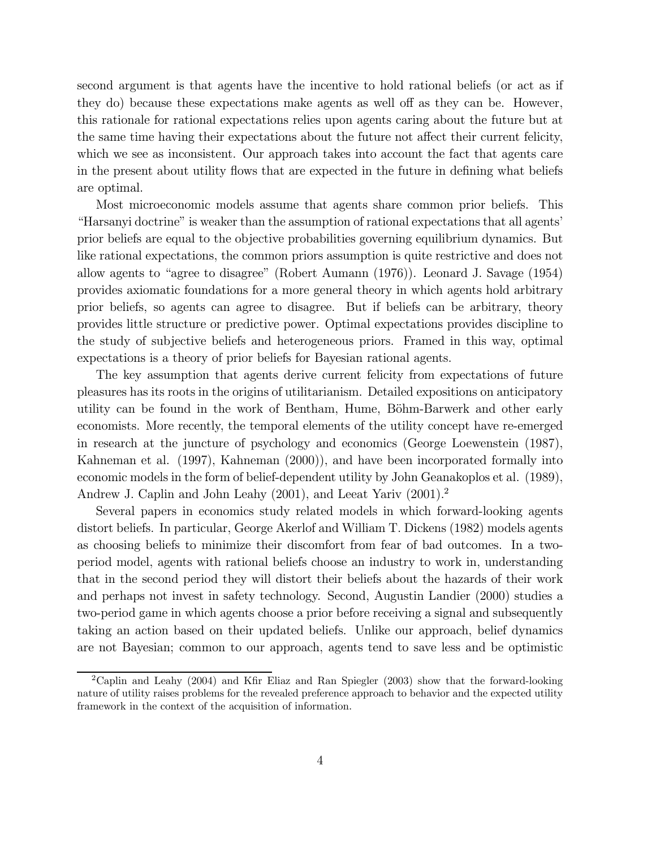second argument is that agents have the incentive to hold rational beliefs (or act as if they do) because these expectations make agents as well off as they can be. However, this rationale for rational expectations relies upon agents caring about the future but at the same time having their expectations about the future not affect their current felicity, which we see as inconsistent. Our approach takes into account the fact that agents care in the present about utility flows that are expected in the future in defining what beliefs are optimal.

Most microeconomic models assume that agents share common prior beliefs. This "Harsanyi doctrine" is weaker than the assumption of rational expectations that all agents' prior beliefs are equal to the objective probabilities governing equilibrium dynamics. But like rational expectations, the common priors assumption is quite restrictive and does not allow agents to "agree to disagree" (Robert Aumann (1976)). Leonard J. Savage (1954) provides axiomatic foundations for a more general theory in which agents hold arbitrary prior beliefs, so agents can agree to disagree. But if beliefs can be arbitrary, theory provides little structure or predictive power. Optimal expectations provides discipline to the study of subjective beliefs and heterogeneous priors. Framed in this way, optimal expectations is a theory of prior beliefs for Bayesian rational agents.

The key assumption that agents derive current felicity from expectations of future pleasures has its roots in the origins of utilitarianism. Detailed expositions on anticipatory utility can be found in the work of Bentham, Hume, Böhm-Barwerk and other early economists. More recently, the temporal elements of the utility concept have re-emerged in research at the juncture of psychology and economics (George Loewenstein (1987), Kahneman et al. (1997), Kahneman (2000)), and have been incorporated formally into economic models in the form of belief-dependent utility by John Geanakoplos et al. (1989), Andrew J. Caplin and John Leahy (2001), and Leeat Yariv (2001).<sup>2</sup>

Several papers in economics study related models in which forward-looking agents distort beliefs. In particular, George Akerlof and William T. Dickens (1982) models agents as choosing beliefs to minimize their discomfort from fear of bad outcomes. In a twoperiod model, agents with rational beliefs choose an industry to work in, understanding that in the second period they will distort their beliefs about the hazards of their work and perhaps not invest in safety technology. Second, Augustin Landier (2000) studies a two-period game in which agents choose a prior before receiving a signal and subsequently taking an action based on their updated beliefs. Unlike our approach, belief dynamics are not Bayesian; common to our approach, agents tend to save less and be optimistic

<sup>&</sup>lt;sup>2</sup>Caplin and Leahy (2004) and Kfir Eliaz and Ran Spiegler (2003) show that the forward-looking nature of utility raises problems for the revealed preference approach to behavior and the expected utility framework in the context of the acquisition of information.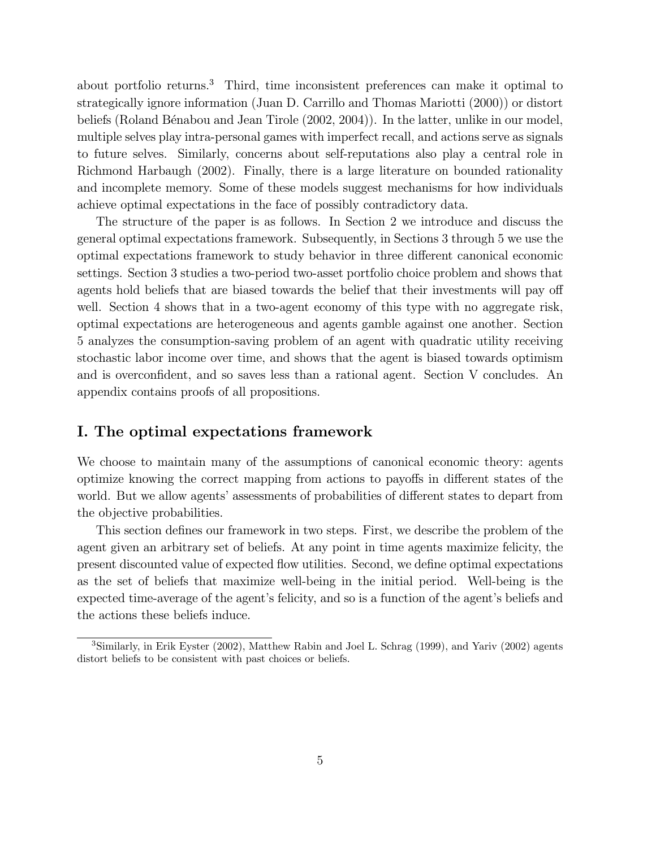about portfolio returns.<sup>3</sup> Third, time inconsistent preferences can make it optimal to strategically ignore information (Juan D. Carrillo and Thomas Mariotti (2000)) or distort beliefs (Roland Bénabou and Jean Tirole (2002, 2004)). In the latter, unlike in our model, multiple selves play intra-personal games with imperfect recall, and actions serve as signals to future selves. Similarly, concerns about self-reputations also play a central role in Richmond Harbaugh (2002). Finally, there is a large literature on bounded rationality and incomplete memory. Some of these models suggest mechanisms for how individuals achieve optimal expectations in the face of possibly contradictory data.

The structure of the paper is as follows. In Section 2 we introduce and discuss the general optimal expectations framework. Subsequently, in Sections 3 through 5 we use the optimal expectations framework to study behavior in three different canonical economic settings. Section 3 studies a two-period two-asset portfolio choice problem and shows that agents hold beliefs that are biased towards the belief that their investments will pay off well. Section 4 shows that in a two-agent economy of this type with no aggregate risk, optimal expectations are heterogeneous and agents gamble against one another. Section 5 analyzes the consumption-saving problem of an agent with quadratic utility receiving stochastic labor income over time, and shows that the agent is biased towards optimism and is overconfident, and so saves less than a rational agent. Section V concludes. An appendix contains proofs of all propositions.

## I. The optimal expectations framework

We choose to maintain many of the assumptions of canonical economic theory: agents optimize knowing the correct mapping from actions to payoffs in different states of the world. But we allow agents' assessments of probabilities of different states to depart from the objective probabilities.

This section defines our framework in two steps. First, we describe the problem of the agent given an arbitrary set of beliefs. At any point in time agents maximize felicity, the present discounted value of expected flow utilities. Second, we define optimal expectations as the set of beliefs that maximize well-being in the initial period. Well-being is the expected time-average of the agent's felicity, and so is a function of the agent's beliefs and the actions these beliefs induce.

<sup>3</sup>Similarly, in Erik Eyster (2002), Matthew Rabin and Joel L. Schrag (1999), and Yariv (2002) agents distort beliefs to be consistent with past choices or beliefs.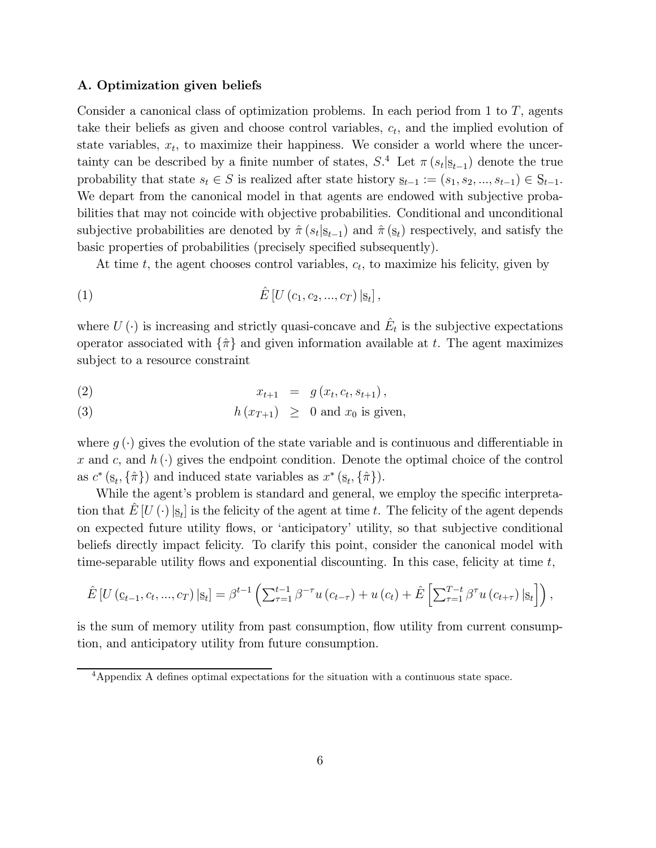#### A. Optimization given beliefs

Consider a canonical class of optimization problems. In each period from 1 to  $T$ , agents take their beliefs as given and choose control variables,  $c_t$ , and the implied evolution of state variables,  $x_t$ , to maximize their happiness. We consider a world where the uncertainty can be described by a finite number of states,  $S^A$ . Let  $\pi(s_t|s_{t-1})$  denote the true probability that state  $s_t \in S$  is realized after state history  $\underline{s}_{t-1} := (s_1, s_2, ..., s_{t-1}) \in \underline{\mathbb{S}}_{t-1}$ . We depart from the canonical model in that agents are endowed with subjective probabilities that may not coincide with objective probabilities. Conditional and unconditional subjective probabilities are denoted by  $\hat{\pi}(s_t | s_{t-1})$  and  $\hat{\pi}(s_t)$  respectively, and satisfy the basic properties of probabilities (precisely specified subsequently).

At time t, the agent chooses control variables,  $c_t$ , to maximize his felicity, given by

(1) 
$$
\hat{E}[U(c_1, c_2, ..., c_T) | \mathbf{s}_t],
$$

where  $U(\cdot)$  is increasing and strictly quasi-concave and  $\hat{E}_t$  is the subjective expectations operator associated with  $\{\hat{\pi}\}\$ and given information available at t. The agent maximizes subject to a resource constraint

(2) 
$$
x_{t+1} = g(x_t, c_t, s_{t+1}),
$$

(3) 
$$
h(x_{T+1}) \geq 0
$$
 and  $x_0$  is given,

where  $g(\cdot)$  gives the evolution of the state variable and is continuous and differentiable in x and c, and  $h(\cdot)$  gives the endpoint condition. Denote the optimal choice of the control as  $c^*$  ( $\underline{\mathbf{s}}$  $\mathbf{s}_t$ ,  $\{\hat{\pi}\}\$  and induced state variables as  $x^*$  ( $\mathbf{s}_t$ ,  $\{\hat{\pi}\}\$ ).

While the agent's problem is standard and general, we employ the specific interpretation that  $\hat{E}[U(\cdot)|\mathbf{s}_t]$  is the felicity of the agent at time t. The felicity of the agent depends on expected future utility flows, or 'anticipatory' utility, so that subjective conditional beliefs directly impact felicity. To clarify this point, consider the canonical model with time-separable utility flows and exponential discounting. In this case, felicity at time  $t$ ,

$$
\hat{E}[U(\underline{c}_{t-1}, c_t, ..., c_T) | \underline{s}_t] = \beta^{t-1} \left( \sum_{\tau=1}^{t-1} \beta^{-\tau} u(c_{t-\tau}) + u(c_t) + \hat{E} \left[ \sum_{\tau=1}^{T-t} \beta^{\tau} u(c_{t+\tau}) | \underline{s}_t \right] \right),
$$

is the sum of memory utility from past consumption, flow utility from current consumption, and anticipatory utility from future consumption.

<sup>4</sup>Appendix A defines optimal expectations for the situation with a continuous state space.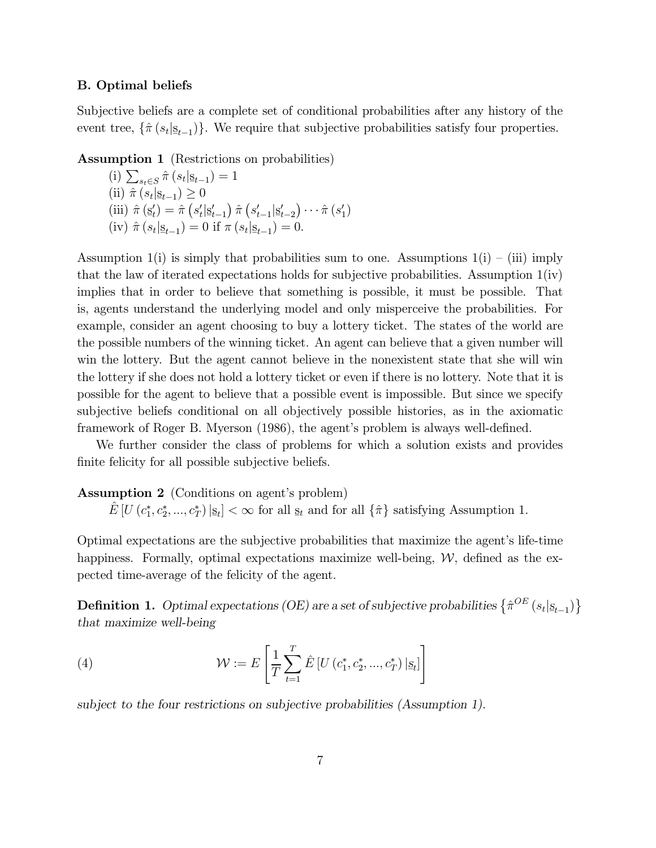#### B. Optimal beliefs

Subjective beliefs are a complete set of conditional probabilities after any history of the event tree,  $\{\hat{\pi}(s_t|_{\underline{\mathbf{S}}_{t-1}})\}\.$  We require that subjective probabilities satisfy four properties.

Assumption 1 (Restrictions on probabilities)

(i) 
$$
\sum_{s_t \in S} \hat{\pi}(s_t | s_{t-1}) = 1
$$
  
\n(ii)  $\hat{\pi}(s_t | s_{t-1}) \ge 0$   
\n(iii)  $\hat{\pi}(s'_t) = \hat{\pi}(s'_t | s'_{t-1}) \hat{\pi}(s'_{t-1} | s'_{t-2}) \cdots \hat{\pi}(s'_1)$   
\n(iv)  $\hat{\pi}(s_t | s_{t-1}) = 0$  if  $\pi(s_t | s_{t-1}) = 0$ .

Assumption 1(i) is simply that probabilities sum to one. Assumptions  $1(i) - (iii)$  imply that the law of iterated expectations holds for subjective probabilities. Assumption 1(iv) implies that in order to believe that something is possible, it must be possible. That is, agents understand the underlying model and only misperceive the probabilities. For example, consider an agent choosing to buy a lottery ticket. The states of the world are the possible numbers of the winning ticket. An agent can believe that a given number will win the lottery. But the agent cannot believe in the nonexistent state that she will win the lottery if she does not hold a lottery ticket or even if there is no lottery. Note that it is possible for the agent to believe that a possible event is impossible. But since we specify subjective beliefs conditional on all objectively possible histories, as in the axiomatic framework of Roger B. Myerson (1986), the agent's problem is always well-defined.

We further consider the class of problems for which a solution exists and provides finite felicity for all possible subjective beliefs.

Assumption 2 (Conditions on agent's problem)  $\hat{E}[U(c_1^*, c_2^*, ..., c_T^*) | \underline{s}_t] < \infty$  for all  $\underline{s}_t$  and for all  $\{\hat{\pi}\}\$  satisfying Assumption 1.

Optimal expectations are the subjective probabilities that maximize the agent's life-time happiness. Formally, optimal expectations maximize well-being,  $W$ , defined as the expected time-average of the felicity of the agent.

**Definition 1.** Optimal expectations (OE) are a set of subjective probabilities  $\{\hat{\pi}^{OE}(s_t|s_{t-1})\}$ that maximize well-being

(4) 
$$
\mathcal{W} := E\left[\frac{1}{T}\sum_{t=1}^{T} \hat{E}\left[U\left(c_{1}^{*}, c_{2}^{*}, ..., c_{T}^{*}\right) | \mathbf{s}_{t}\right]\right]
$$

subject to the four restrictions on subjective probabilities (Assumption 1).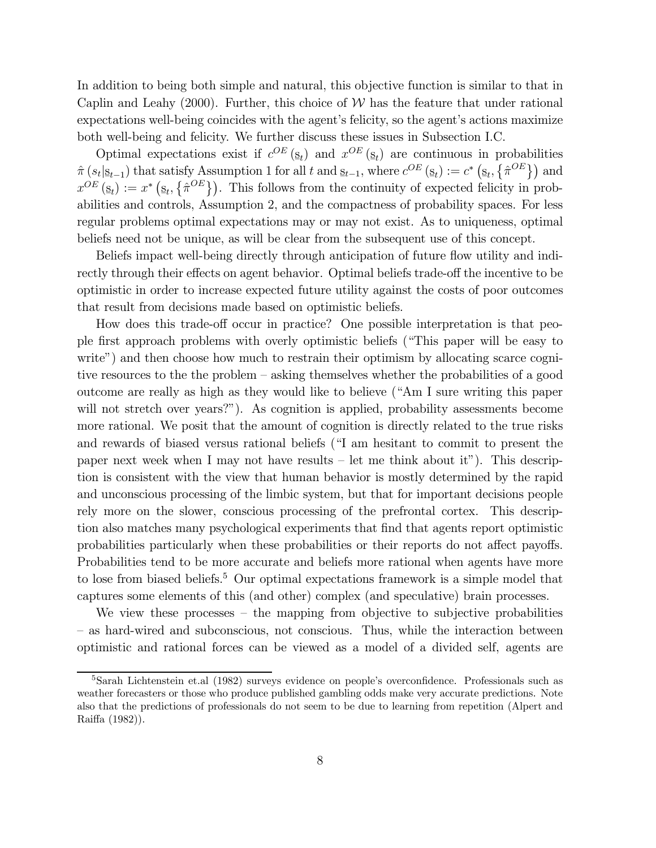In addition to being both simple and natural, this objective function is similar to that in Caplin and Leahy (2000). Further, this choice of  $\mathcal W$  has the feature that under rational expectations well-being coincides with the agent's felicity, so the agent's actions maximize both well-being and felicity. We further discuss these issues in Subsection I.C.

Optimal expectations exist if  $c^{OE}(s_t)$  and  $x^{OE}(s_t)$  are continuous in probabilities  $\hat{\pi}(s_t|_{\mathcal{S}_{t-1}})$  that satisfy Assumption 1 for all t and  $s_{t-1}$ , where  $c^{OE}(\mathcal{S}_t) := c^* (\mathcal{S}_t, {\{\hat{\pi}^{OE}\}})$  and  $c^{CE}(\mathcal{S}_{t-1})$  is  $\hat{\pi}(s_t|_{\mathcal{S}_{t-1}})$  that satisfy Assumption 1 for all t and  $\mathcal{S}_{t-1}$ , whe  $x^{OE}(\underline{s}_t) := x^* (\underline{s}_t, \{\hat{\pi}^{OE}\})$ . This follows from the continuity of ex  $\mathbf{s}_t := x^* \left( \mathbf{s}_t, \{ \hat{\pi}^{OE} \} \right)$ . This follows from the continuity of expected felicity in probabilities and controls, Assumption 2, and the compactness of probability spaces. For less regular problems optimal expectations may or may not exist. As to uniqueness, optimal beliefs need not be unique, as will be clear from the subsequent use of this concept.

Beliefs impact well-being directly through anticipation of future flow utility and indirectly through their effects on agent behavior. Optimal beliefs trade-off the incentive to be optimistic in order to increase expected future utility against the costs of poor outcomes that result from decisions made based on optimistic beliefs.

How does this trade-off occur in practice? One possible interpretation is that people first approach problems with overly optimistic beliefs ("This paper will be easy to write") and then choose how much to restrain their optimism by allocating scarce cognitive resources to the the problem — asking themselves whether the probabilities of a good outcome are really as high as they would like to believe ("Am I sure writing this paper will not stretch over years?"). As cognition is applied, probability assessments become more rational. We posit that the amount of cognition is directly related to the true risks and rewards of biased versus rational beliefs ("I am hesitant to commit to present the paper next week when I may not have results — let me think about it"). This description is consistent with the view that human behavior is mostly determined by the rapid and unconscious processing of the limbic system, but that for important decisions people rely more on the slower, conscious processing of the prefrontal cortex. This description also matches many psychological experiments that find that agents report optimistic probabilities particularly when these probabilities or their reports do not affect payoffs. Probabilities tend to be more accurate and beliefs more rational when agents have more to lose from biased beliefs.<sup>5</sup> Our optimal expectations framework is a simple model that captures some elements of this (and other) complex (and speculative) brain processes.

We view these processes – the mapping from objective to subjective probabilities — as hard-wired and subconscious, not conscious. Thus, while the interaction between optimistic and rational forces can be viewed as a model of a divided self, agents are

<sup>5</sup>Sarah Lichtenstein et.al (1982) surveys evidence on people's overconfidence. Professionals such as weather forecasters or those who produce published gambling odds make very accurate predictions. Note also that the predictions of professionals do not seem to be due to learning from repetition (Alpert and Raiffa (1982)).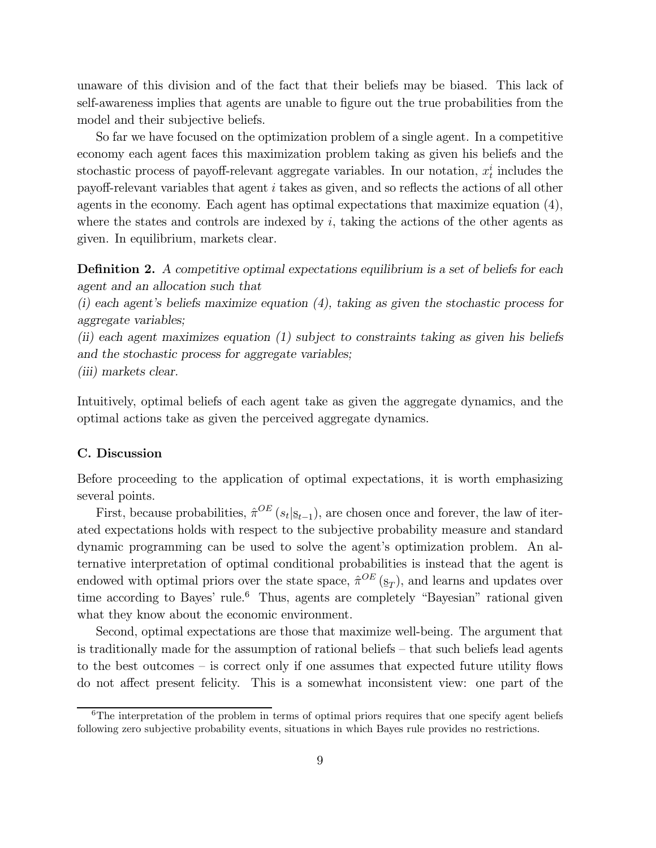unaware of this division and of the fact that their beliefs may be biased. This lack of self-awareness implies that agents are unable to figure out the true probabilities from the model and their subjective beliefs.

So far we have focused on the optimization problem of a single agent. In a competitive economy each agent faces this maximization problem taking as given his beliefs and the stochastic process of payoff-relevant aggregate variables. In our notation,  $x_t^i$  includes the payoff-relevant variables that agent i takes as given, and so reflects the actions of all other agents in the economy. Each agent has optimal expectations that maximize equation (4), where the states and controls are indexed by  $i$ , taking the actions of the other agents as given. In equilibrium, markets clear.

Definition 2. A competitive optimal expectations equilibrium is a set of beliefs for each agent and an allocation such that

(i) each agent's beliefs maximize equation (4), taking as given the stochastic process for aggregate variables;

(ii) each agent maximizes equation (1) subject to constraints taking as given his beliefs and the stochastic process for aggregate variables;

(iii) markets clear.

Intuitively, optimal beliefs of each agent take as given the aggregate dynamics, and the optimal actions take as given the perceived aggregate dynamics.

#### C. Discussion

Before proceeding to the application of optimal expectations, it is worth emphasizing several points.

First, because probabilities,  $\hat{\pi}^{OE}(s_t|_{\mathbf{S}_{t-1}})$ , are chosen once and forever, the law of iter-<br>detection and the law of iterated expectations holds with respect to the subjective probability measure and standard dynamic programming can be used to solve the agent's optimization problem. An alternative interpretation of optimal conditional probabilities is instead that the agent is endowed with optimal priors over the state space,  $\hat{\pi}^{OE}(\mathbf{s}_T)$ , and learns and updates over time according to Bayes' rule.<sup>6</sup> Thus, agents are completely "Bayesian" rational given what they know about the economic environment.

Second, optimal expectations are those that maximize well-being. The argument that is traditionally made for the assumption of rational beliefs — that such beliefs lead agents to the best outcomes — is correct only if one assumes that expected future utility flows do not affect present felicity. This is a somewhat inconsistent view: one part of the

<sup>&</sup>lt;sup>6</sup>The interpretation of the problem in terms of optimal priors requires that one specify agent beliefs following zero subjective probability events, situations in which Bayes rule provides no restrictions.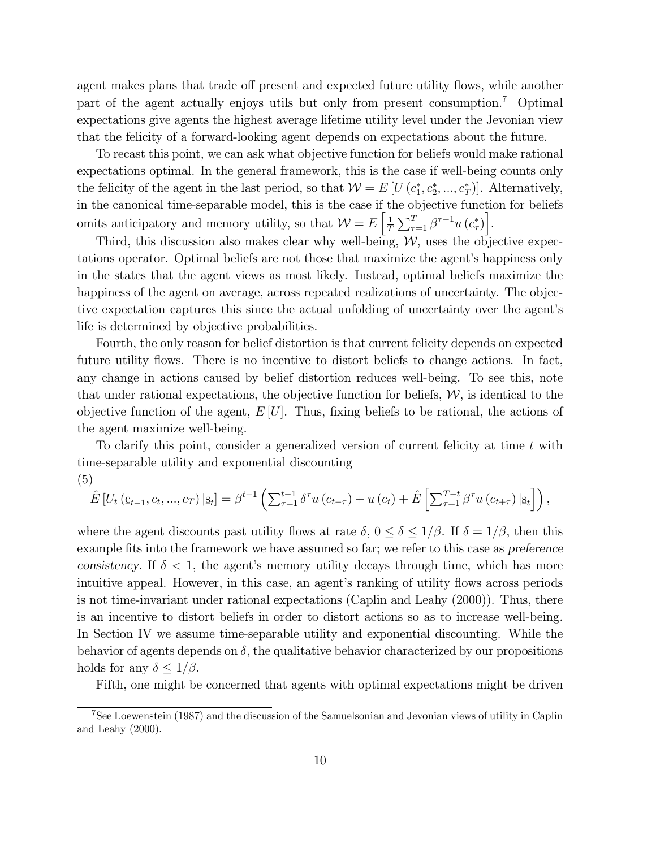agent makes plans that trade off present and expected future utility flows, while another part of the agent actually enjoys utils but only from present consumption.<sup>7</sup> Optimal expectations give agents the highest average lifetime utility level under the Jevonian view that the felicity of a forward-looking agent depends on expectations about the future.

To recast this point, we can ask what objective function for beliefs would make rational expectations optimal. In the general framework, this is the case if well-being counts only the felicity of the agent in the last period, so that  $W = E[U(c_1^*, c_2^*, ..., c_T^*)]$ . Alternatively, in the canonical time-separable model, this is the case if the objective function for beliefs omits anticipatory and memory utility, so that  $\mathcal{W} = E \left[ \frac{1}{T} \right]$  $\frac{1}{T} \sum_{\tau=1}^T \beta^{\tau-1} u\left(c_{\tau}^*\right)$ .

Third, this discussion also makes clear why well-being,  $W$ , uses the objective expectations operator. Optimal beliefs are not those that maximize the agent's happiness only in the states that the agent views as most likely. Instead, optimal beliefs maximize the happiness of the agent on average, across repeated realizations of uncertainty. The objective expectation captures this since the actual unfolding of uncertainty over the agent's life is determined by objective probabilities.

Fourth, the only reason for belief distortion is that current felicity depends on expected future utility flows. There is no incentive to distort beliefs to change actions. In fact, any change in actions caused by belief distortion reduces well-being. To see this, note that under rational expectations, the objective function for beliefs,  $W$ , is identical to the objective function of the agent,  $E[U]$ . Thus, fixing beliefs to be rational, the actions of the agent maximize well-being.

To clarify this point, consider a generalized version of current felicity at time  $t$  with time-separable utility and exponential discounting (5)

$$
\hat{E}[U_t(c_{t-1},c_t,...,c_T)|\mathbf{s}_t] = \beta^{t-1} \left( \sum_{\tau=1}^{t-1} \delta^{\tau} u(c_{t-\tau}) + u(c_t) + \hat{E}\left[ \sum_{\tau=1}^{T-t} \beta^{\tau} u(c_{t+\tau})|\mathbf{s}_t\right] \right),
$$

where the agent discounts past utility flows at rate  $\delta$ ,  $0 \le \delta \le 1/\beta$ . If  $\delta = 1/\beta$ , then this example fits into the framework we have assumed so far; we refer to this case as preference consistency. If  $\delta$  < 1, the agent's memory utility decays through time, which has more intuitive appeal. However, in this case, an agent's ranking of utility flows across periods is not time-invariant under rational expectations (Caplin and Leahy (2000)). Thus, there is an incentive to distort beliefs in order to distort actions so as to increase well-being. In Section IV we assume time-separable utility and exponential discounting. While the behavior of agents depends on  $\delta$ , the qualitative behavior characterized by our propositions holds for any  $\delta \leq 1/\beta$ .

Fifth, one might be concerned that agents with optimal expectations might be driven

<sup>7</sup>See Loewenstein (1987) and the discussion of the Samuelsonian and Jevonian views of utility in Caplin and Leahy (2000).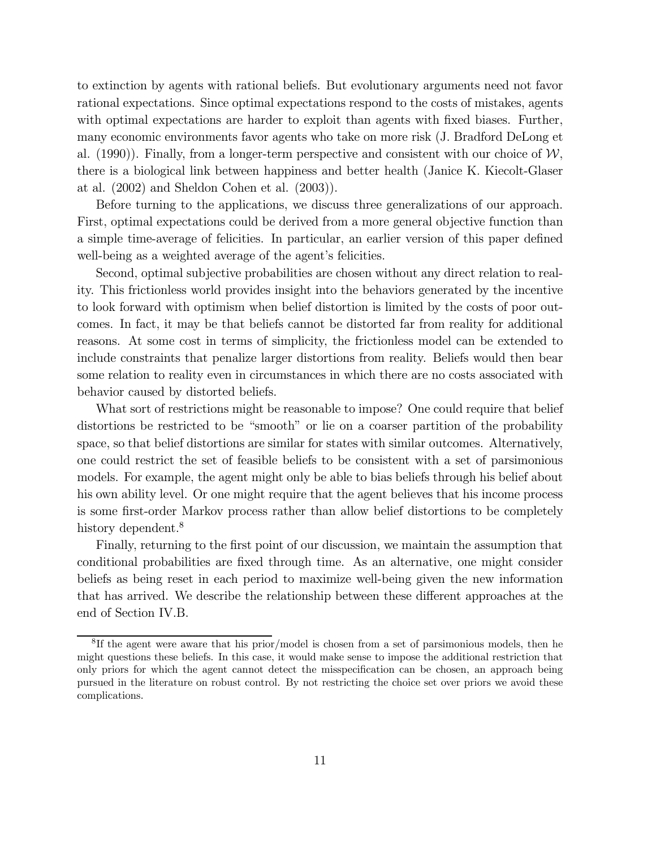to extinction by agents with rational beliefs. But evolutionary arguments need not favor rational expectations. Since optimal expectations respond to the costs of mistakes, agents with optimal expectations are harder to exploit than agents with fixed biases. Further, many economic environments favor agents who take on more risk (J. Bradford DeLong et al. (1990)). Finally, from a longer-term perspective and consistent with our choice of  $\mathcal{W}$ , there is a biological link between happiness and better health (Janice K. Kiecolt-Glaser at al. (2002) and Sheldon Cohen et al. (2003)).

Before turning to the applications, we discuss three generalizations of our approach. First, optimal expectations could be derived from a more general objective function than a simple time-average of felicities. In particular, an earlier version of this paper defined well-being as a weighted average of the agent's felicities.

Second, optimal subjective probabilities are chosen without any direct relation to reality. This frictionless world provides insight into the behaviors generated by the incentive to look forward with optimism when belief distortion is limited by the costs of poor outcomes. In fact, it may be that beliefs cannot be distorted far from reality for additional reasons. At some cost in terms of simplicity, the frictionless model can be extended to include constraints that penalize larger distortions from reality. Beliefs would then bear some relation to reality even in circumstances in which there are no costs associated with behavior caused by distorted beliefs.

What sort of restrictions might be reasonable to impose? One could require that belief distortions be restricted to be "smooth" or lie on a coarser partition of the probability space, so that belief distortions are similar for states with similar outcomes. Alternatively, one could restrict the set of feasible beliefs to be consistent with a set of parsimonious models. For example, the agent might only be able to bias beliefs through his belief about his own ability level. Or one might require that the agent believes that his income process is some first-order Markov process rather than allow belief distortions to be completely history dependent.<sup>8</sup>

Finally, returning to the first point of our discussion, we maintain the assumption that conditional probabilities are fixed through time. As an alternative, one might consider beliefs as being reset in each period to maximize well-being given the new information that has arrived. We describe the relationship between these different approaches at the end of Section IV.B.

<sup>8</sup>If the agent were aware that his prior/model is chosen from a set of parsimonious models, then he might questions these beliefs. In this case, it would make sense to impose the additional restriction that only priors for which the agent cannot detect the misspecification can be chosen, an approach being pursued in the literature on robust control. By not restricting the choice set over priors we avoid these complications.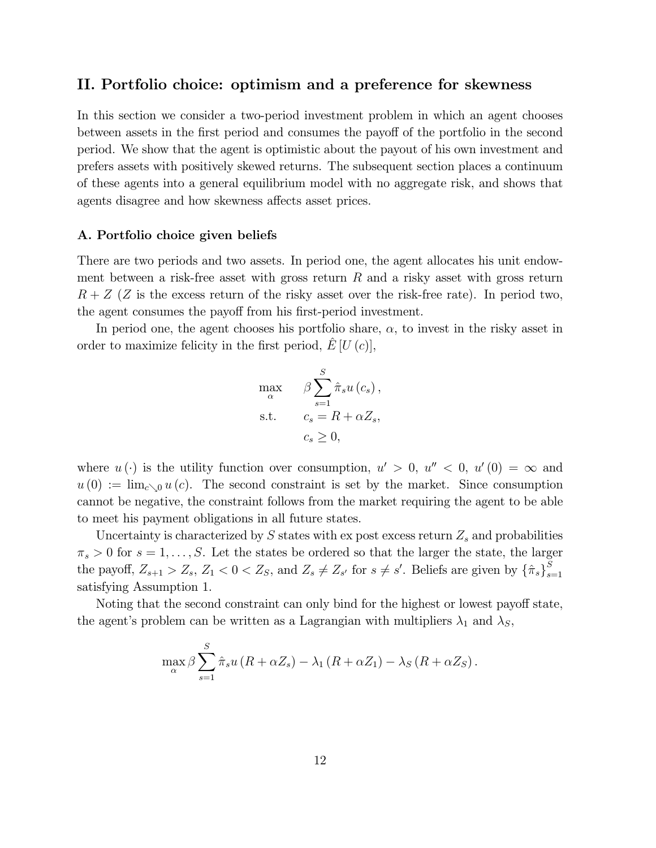## II. Portfolio choice: optimism and a preference for skewness

In this section we consider a two-period investment problem in which an agent chooses between assets in the first period and consumes the payoff of the portfolio in the second period. We show that the agent is optimistic about the payout of his own investment and prefers assets with positively skewed returns. The subsequent section places a continuum of these agents into a general equilibrium model with no aggregate risk, and shows that agents disagree and how skewness affects asset prices.

#### A. Portfolio choice given beliefs

There are two periods and two assets. In period one, the agent allocates his unit endowment between a risk-free asset with gross return  $R$  and a risky asset with gross return  $R + Z$  (Z is the excess return of the risky asset over the risk-free rate). In period two, the agent consumes the payoff from his first-period investment.

In period one, the agent chooses his portfolio share,  $\alpha$ , to invest in the risky asset in order to maximize felicity in the first period,  $E[U(c)]$ ,

$$
\max_{\alpha} \qquad \beta \sum_{s=1}^{S} \hat{\pi}_{s} u (c_{s}),
$$
  
s.t. 
$$
c_{s} = R + \alpha Z_{s},
$$

$$
c_{s} \geq 0,
$$

where  $u(\cdot)$  is the utility function over consumption,  $u' > 0$ ,  $u'' < 0$ ,  $u'(0) = \infty$  and  $u(0) := \lim_{c \to 0} u(c)$ . The second constraint is set by the market. Since consumption cannot be negative, the constraint follows from the market requiring the agent to be able to meet his payment obligations in all future states.

Uncertainty is characterized by  $S$  states with expost excess return  $Z_s$  and probabilities  $\pi_s > 0$  for  $s = 1, \ldots, S$ . Let the states be ordered so that the larger the state, the larger the payoff,  $Z_{s+1} > Z_s$ ,  $Z_1 < 0 < Z_S$ , and  $Z_s \neq Z_{s'}$  for  $s \neq s'$ . Beliefs are given by  $\{\hat{\pi}_s\}_{s=1}^S$ satisfying Assumption 1.

Noting that the second constraint can only bind for the highest or lowest payoff state, the agent's problem can be written as a Lagrangian with multipliers  $\lambda_1$  and  $\lambda_S$ ,

$$
\max_{\alpha} \beta \sum_{s=1}^{S} \hat{\pi}_{s} u (R + \alpha Z_{s}) - \lambda_{1} (R + \alpha Z_{1}) - \lambda_{S} (R + \alpha Z_{S}).
$$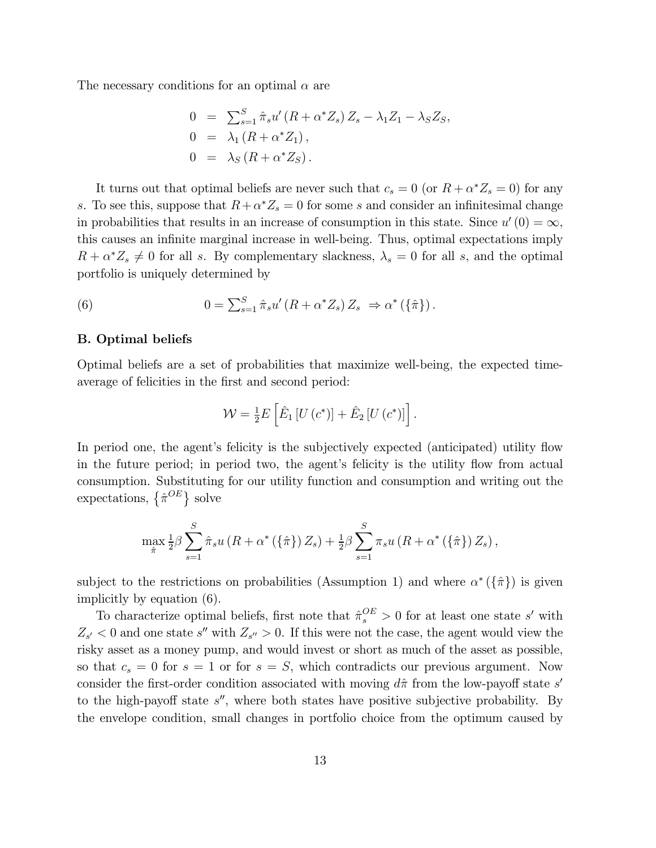The necessary conditions for an optimal  $\alpha$  are

$$
0 = \sum_{s=1}^{S} \hat{\pi}_s u' (R + \alpha^* Z_s) Z_s - \lambda_1 Z_1 - \lambda_S Z_S,
$$
  
\n
$$
0 = \lambda_1 (R + \alpha^* Z_1),
$$
  
\n
$$
0 = \lambda_S (R + \alpha^* Z_S).
$$

It turns out that optimal beliefs are never such that  $c_s = 0$  (or  $R + \alpha^* Z_s = 0$ ) for any s. To see this, suppose that  $R+\alpha^*Z_s=0$  for some s and consider an infinitesimal change in probabilities that results in an increase of consumption in this state. Since  $u'(0) = \infty$ , this causes an infinite marginal increase in well-being. Thus, optimal expectations imply  $R + \alpha^* Z_s \neq 0$  for all s. By complementary slackness,  $\lambda_s = 0$  for all s, and the optimal portfolio is uniquely determined by

(6) 
$$
0 = \sum_{s=1}^{S} \hat{\pi}_s u' (R + \alpha^* Z_s) Z_s \Rightarrow \alpha^* (\{\hat{\pi}\}).
$$

#### B. Optimal beliefs

Optimal beliefs are a set of probabilities that maximize well-being, the expected timeaverage of felicities in the first and second period:

$$
\mathcal{W} = \frac{1}{2} E \left[ \hat{E}_1 \left[ U \left( c^* \right) \right] + \hat{E}_2 \left[ U \left( c^* \right) \right] \right].
$$

In period one, the agent's felicity is the subjectively expected (anticipated) utility flow in the future period; in period two, the agent's felicity is the utility flow from actual consumption. Substituting for our utility function and consumption and writing out the expectations,  $\{\hat{\pi}^{OE}\}\$  solve

$$
\max_{\hat{\pi}} \frac{1}{2} \beta \sum_{s=1}^{S} \hat{\pi}_s u (R + \alpha^* (\{\hat{\pi}\}) Z_s) + \frac{1}{2} \beta \sum_{s=1}^{S} \pi_s u (R + \alpha^* (\{\hat{\pi}\}) Z_s),
$$

subject to the restrictions on probabilities (Assumption 1) and where  $\alpha^*(\{\hat{\pi}\})$  is given implicitly by equation (6).

To characterize optimal beliefs, first note that  $\hat{\pi}_{s}^{OE} > 0$  for at least one state s' with  $Z_{s'}$  < 0 and one state s'' with  $Z_{s''} > 0$ . If this were not the case, the agent would view the risky asset as a money pump, and would invest or short as much of the asset as possible, so that  $c_s = 0$  for  $s = 1$  or for  $s = S$ , which contradicts our previous argument. Now consider the first-order condition associated with moving  $d\hat{\pi}$  from the low-payoff state s' to the high-payoff state  $s''$ , where both states have positive subjective probability. By the envelope condition, small changes in portfolio choice from the optimum caused by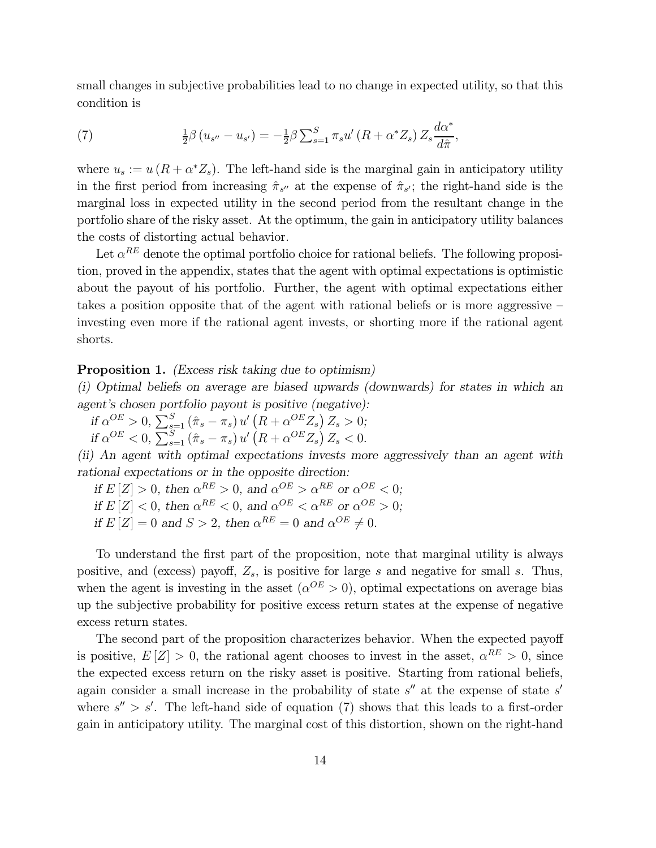small changes in subjective probabilities lead to no change in expected utility, so that this condition is

(7) 
$$
\frac{1}{2}\beta (u_{s''} - u_{s'}) = -\frac{1}{2}\beta \sum_{s=1}^{S} \pi_s u' (R + \alpha^* Z_s) Z_s \frac{d\alpha^*}{d\hat{\pi}},
$$

where  $u_s := u(R + \alpha^* Z_s)$ . The left-hand side is the marginal gain in anticipatory utility in the first period from increasing  $\hat{\pi}_{s''}$  at the expense of  $\hat{\pi}_{s'}$ ; the right-hand side is the marginal loss in expected utility in the second period from the resultant change in the portfolio share of the risky asset. At the optimum, the gain in anticipatory utility balances the costs of distorting actual behavior.

Let  $\alpha^{RE}$  denote the optimal portfolio choice for rational beliefs. The following proposition, proved in the appendix, states that the agent with optimal expectations is optimistic about the payout of his portfolio. Further, the agent with optimal expectations either takes a position opposite that of the agent with rational beliefs or is more aggressive investing even more if the rational agent invests, or shorting more if the rational agent shorts.

#### Proposition 1. (Excess risk taking due to optimism)

(i) Optimal beliefs on average are biased upwards (downwards) for states in which an agent's chosen portfolio payout is positive (negative):

if 
$$
\alpha^{OE} > 0
$$
,  $\sum_{s=1}^{S} (\hat{\pi}_s - \pi_s) u' (R + \alpha^{OE} Z_s) Z_s > 0$ ;  
if  $\alpha^{OE} < 0$ ,  $\sum_{s=1}^{S} (\hat{\pi}_s - \pi_s) u' (R + \alpha^{OE} Z_s) Z_s < 0$ .

(ii) An agent with optimal expectations invests more aggressively than an agent with rational expectations or in the opposite direction:

if  $E[Z] > 0$ , then  $\alpha^{RE} > 0$ , and  $\alpha^{OE} > \alpha^{RE}$  or  $\alpha^{OE} < 0$ ; if  $E[Z] < 0$ , then  $\alpha^{RE} < 0$ , and  $\alpha^{OE} < \alpha^{RE}$  or  $\alpha^{OE} > 0$ ; if  $E[Z]=0$  and  $S > 2$ , then  $\alpha^{RE}=0$  and  $\alpha^{OE} \neq 0$ .

To understand the first part of the proposition, note that marginal utility is always positive, and (excess) payoff,  $Z_s$ , is positive for large s and negative for small s. Thus, when the agent is investing in the asset  $(\alpha^{OE} > 0)$ , optimal expectations on average bias up the subjective probability for positive excess return states at the expense of negative excess return states.

The second part of the proposition characterizes behavior. When the expected payoff is positive,  $E[Z] > 0$ , the rational agent chooses to invest in the asset,  $\alpha^{RE} > 0$ , since the expected excess return on the risky asset is positive. Starting from rational beliefs, again consider a small increase in the probability of state  $s''$  at the expense of state  $s'$ where  $s'' > s'$ . The left-hand side of equation (7) shows that this leads to a first-order gain in anticipatory utility. The marginal cost of this distortion, shown on the right-hand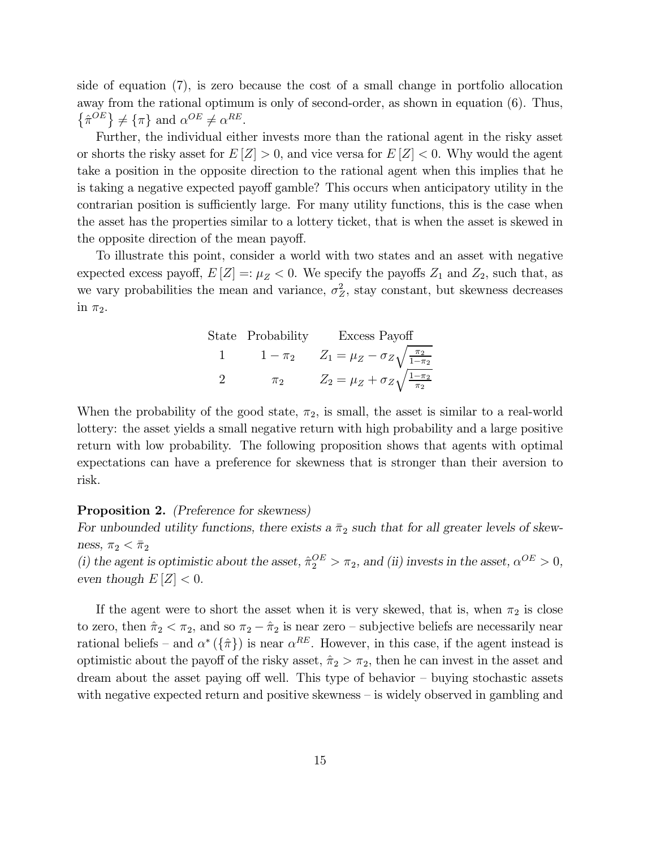side of equation (7), is zero because the cost of a small change in portfolio allocation away from the rational optimum is only of second-order, as shown in equation (6). Thus,  $\{\hat{\pi}^{OE}\}\neq \{\pi\}$  and  $\alpha^{OE}\neq \alpha^{RE}$ .

Further, the individual either invests more than the rational agent in the risky asset or shorts the risky asset for  $E |Z| > 0$ , and vice versa for  $E |Z| < 0$ . Why would the agent take a position in the opposite direction to the rational agent when this implies that he is taking a negative expected payoff gamble? This occurs when anticipatory utility in the contrarian position is sufficiently large. For many utility functions, this is the case when the asset has the properties similar to a lottery ticket, that is when the asset is skewed in the opposite direction of the mean payoff.

To illustrate this point, consider a world with two states and an asset with negative expected excess payoff,  $E[Z] =: \mu_Z < 0$ . We specify the payoffs  $Z_1$  and  $Z_2$ , such that, as we vary probabilities the mean and variance,  $\sigma_Z^2$ , stay constant, but skewness decreases in  $\pi_2$ .

|          | State Probability | Excess Payoff                                                       |
|----------|-------------------|---------------------------------------------------------------------|
| $\sim$ 1 |                   | $1 - \pi_2$ $Z_1 = \mu_Z - \sigma_Z \sqrt{\frac{\pi_2}{1 - \pi_2}}$ |
| $\cdot$  | $\pi_2$           | $Z_2 = \mu_Z + \sigma_Z \sqrt{\frac{1-\pi_2}{\pi_2}}$               |

When the probability of the good state,  $\pi_2$ , is small, the asset is similar to a real-world lottery: the asset yields a small negative return with high probability and a large positive return with low probability. The following proposition shows that agents with optimal expectations can have a preference for skewness that is stronger than their aversion to risk.

#### Proposition 2. (Preference for skewness)

For unbounded utility functions, there exists a  $\bar{\pi}_2$  such that for all greater levels of skewness,  $\pi_2 < \bar{\pi}_2$ (i) the agent is optimistic about the asset,  $\hat{\pi}_2^{OE} > \pi_2$ , and (ii) invests in the asset,  $\alpha^{OE} > 0$ , even though  $E[Z] < 0$ .

If the agent were to short the asset when it is very skewed, that is, when  $\pi_2$  is close to zero, then  $\hat{\pi}_2 < \pi_2$ , and so  $\pi_2 - \hat{\pi}_2$  is near zero – subjective beliefs are necessarily near rational beliefs – and  $\alpha^* (\{\hat{\pi}\})$  is near  $\alpha^{RE}$ . However, in this case, if the agent instead is optimistic about the payoff of the risky asset,  $\hat{\pi}_2 > \pi_2$ , then he can invest in the asset and dream about the asset paying off well. This type of behavior — buying stochastic assets with negative expected return and positive skewness — is widely observed in gambling and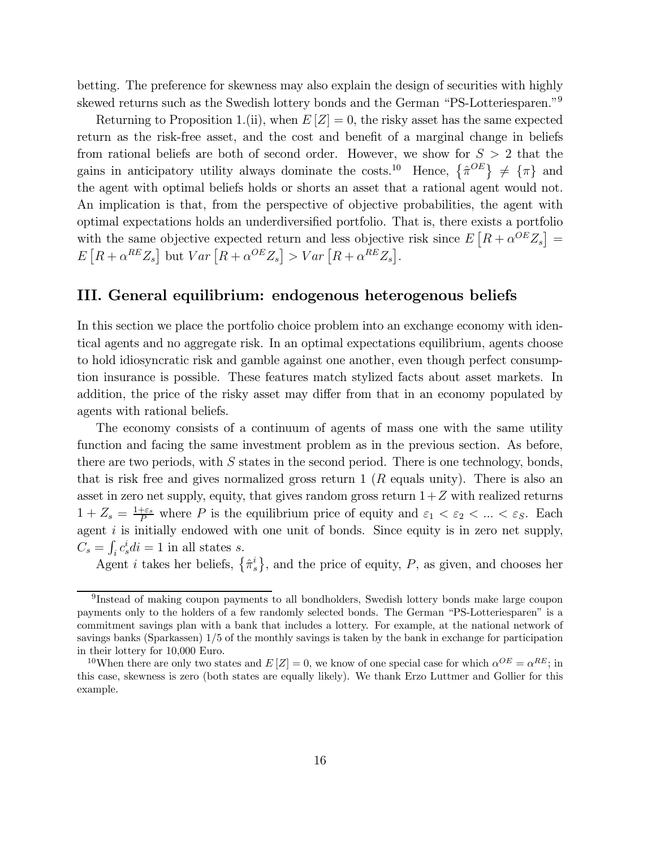betting. The preference for skewness may also explain the design of securities with highly skewed returns such as the Swedish lottery bonds and the German "PS-Lotteriesparen."<sup>9</sup>

Returning to Proposition 1.(ii), when  $E[Z] = 0$ , the risky asset has the same expected return as the risk-free asset, and the cost and benefit of a marginal change in beliefs from rational beliefs are both of second order. However, we show for  $S > 2$  that the gains in anticipatory utility always dominate the costs.<sup>10</sup> Hence,  $\{\hat{\pi}^{OE}\}\neq \{\pi\}$  and the agent with optimal beliefs holds or shorts an asset that a rational agent would not. An implication is that, from the perspective of objective probabilities, the agent with optimal expectations holds an underdiversified portfolio. That is, there exists a portfolio with the same objective expected return and less objective risk since  $E[R + \alpha^{OE}Z_s] =$  $E[R + \alpha^{RE} Z_s]$  but  $Var[R + \alpha^{OE} Z_s] > Var[R + \alpha^{RE} Z_s].$ 

### III. General equilibrium: endogenous heterogenous beliefs

In this section we place the portfolio choice problem into an exchange economy with identical agents and no aggregate risk. In an optimal expectations equilibrium, agents choose to hold idiosyncratic risk and gamble against one another, even though perfect consumption insurance is possible. These features match stylized facts about asset markets. In addition, the price of the risky asset may differ from that in an economy populated by agents with rational beliefs.

The economy consists of a continuum of agents of mass one with the same utility function and facing the same investment problem as in the previous section. As before, there are two periods, with  $S$  states in the second period. There is one technology, bonds, that is risk free and gives normalized gross return  $1(R)$  equals unity). There is also an asset in zero net supply, equity, that gives random gross return  $1+Z$  with realized returns  $1 + Z_s = \frac{1+\varepsilon_s}{P}$  where P is the equilibrium price of equity and  $\varepsilon_1 < \varepsilon_2 < ... < \varepsilon_S$ . Each agent  $i$  is initially endowed with one unit of bonds. Since equity is in zero net supply,  $C_s = \int_i c_s^i di = 1$  in all states s.

Agent *i* takes her beliefs,  $\{\hat{\pi}_s^i\}$ , and the price of equity, P, as given, and chooses her

<sup>9</sup>Instead of making coupon payments to all bondholders, Swedish lottery bonds make large coupon payments only to the holders of a few randomly selected bonds. The German "PS-Lotteriesparen" is a commitment savings plan with a bank that includes a lottery. For example, at the national network of savings banks (Sparkassen) 1/5 of the monthly savings is taken by the bank in exchange for participation in their lottery for 10,000 Euro.

<sup>&</sup>lt;sup>10</sup>When there are only two states and  $E[Z] = 0$ , we know of one special case for which  $\alpha^{OE} = \alpha^{RE}$ ; in this case, skewness is zero (both states are equally likely). We thank Erzo Luttmer and Gollier for this example.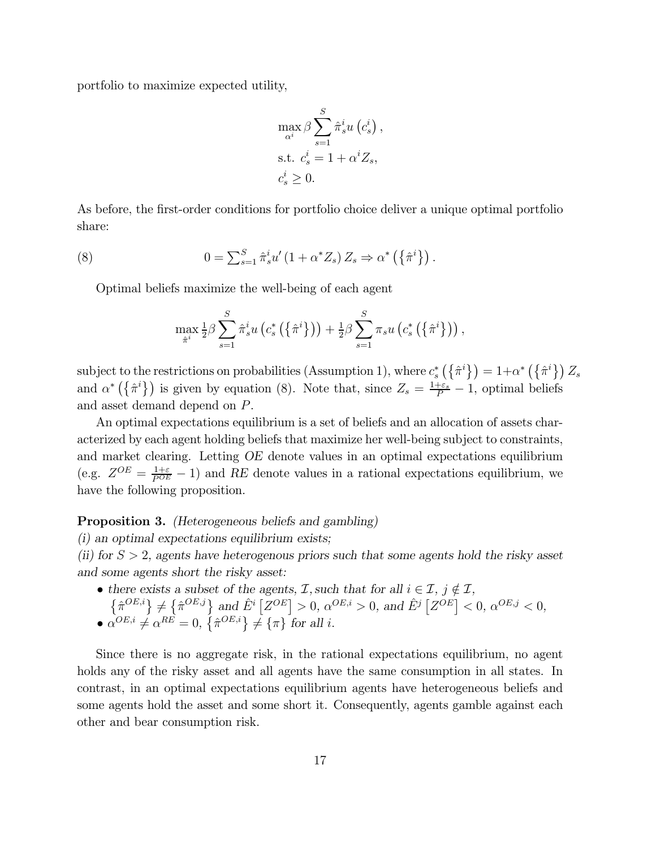portfolio to maximize expected utility,

$$
\max_{\alpha^i} \beta \sum_{s=1}^S \hat{\pi}_s^i u\left(c_s^i\right),
$$
s.t.  $c_s^i = 1 + \alpha^i Z_s,$   
 $c_s^i \ge 0.$ 

As before, the first-order conditions for portfolio choice deliver a unique optimal portfolio share:

(8) 
$$
0 = \sum_{s=1}^{S} \hat{\pi}_s^i u' (1 + \alpha^* Z_s) Z_s \Rightarrow \alpha^* (\{\hat{\pi}^i\}).
$$

Optimal beliefs maximize the well-being of each agent

$$
\max_{\hat{\pi}^i} \frac{1}{2} \beta \sum_{s=1}^S \hat{\pi}_s^i u\left(c_s^*\left(\{\hat{\pi}^i\}\right)\right) + \frac{1}{2} \beta \sum_{s=1}^S \pi_s u\left(c_s^*\left(\{\hat{\pi}^i\}\right)\right),
$$

subject to the restrictions on probabilities (Assumption 1), where  $c_s^* \left( \{ \hat{\pi}^i \} \right) = 1 + \alpha^* \left( \{ \hat{\pi}^i \} \right) Z_s$ and  $\alpha^* \left( \{ \hat{\pi}^i \} \right)$  is given by equation (8). Note that, since  $Z_s = \frac{1+\varepsilon_s}{P} - 1$ , optimal beliefs and asset demand depend on P.

An optimal expectations equilibrium is a set of beliefs and an allocation of assets characterized by each agent holding beliefs that maximize her well-being subject to constraints, and market clearing. Letting OE denote values in an optimal expectations equilibrium (e.g.  $Z^{OE} = \frac{1+\varepsilon}{P^{OE}} - 1$ ) and RE denote values in a rational expectations equilibrium, we have the following proposition.

#### Proposition 3. (Heterogeneous beliefs and gambling)

(i) an optimal expectations equilibrium exists;

(ii) for  $S > 2$ , agents have heterogenous priors such that some agents hold the risky asset and some agents short the risky asset:

• there exists a subset of the agents, *I*, such that for all  $i \in I$ ,  $j \notin I$ ,<br>  $\{\hat{\pi}^{OE,i}\} \neq \{\hat{\pi}^{OE,j}\}$  and  $\hat{E}^i[Z^{OE}] > 0$ ,  $\alpha^{OE,i} > 0$ , and  $\hat{E}^j[Z^{OE}] < 0$ ,  $\alpha^{OE,j} < 0$ , •  $\alpha^{OE,i} \neq \alpha^{RE} = 0$ ,  $\{\hat{\pi}^{OE,i}\}\neq \{\pi\}$  for all *i*.

Since there is no aggregate risk, in the rational expectations equilibrium, no agent holds any of the risky asset and all agents have the same consumption in all states. In contrast, in an optimal expectations equilibrium agents have heterogeneous beliefs and some agents hold the asset and some short it. Consequently, agents gamble against each other and bear consumption risk.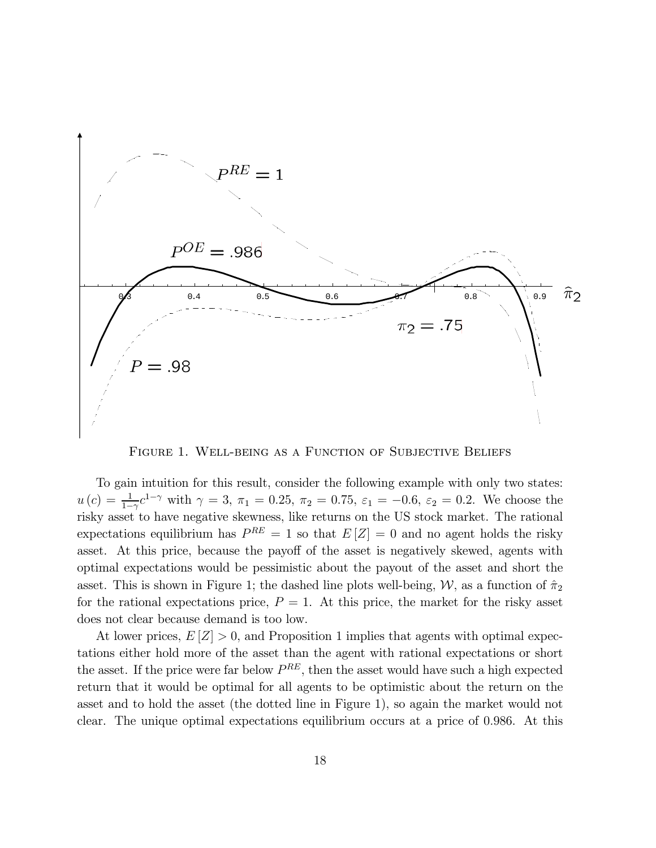

FIGURE 1. WELL-BEING AS A FUNCTION OF SUBJECTIVE BELIEFS

To gain intuition for this result, consider the following example with only two states:  $u(c) = \frac{1}{1-\gamma}c^{1-\gamma}$  with  $\gamma = 3$ ,  $\pi_1 = 0.25$ ,  $\pi_2 = 0.75$ ,  $\varepsilon_1 = -0.6$ ,  $\varepsilon_2 = 0.2$ . We choose the risky asset to have negative skewness, like returns on the US stock market. The rational expectations equilibrium has  $P^{RE} = 1$  so that  $E[Z] = 0$  and no agent holds the risky asset. At this price, because the payoff of the asset is negatively skewed, agents with optimal expectations would be pessimistic about the payout of the asset and short the asset. This is shown in Figure 1; the dashed line plots well-being,  $\mathcal{W}$ , as a function of  $\hat{\pi}_2$ for the rational expectations price,  $P = 1$ . At this price, the market for the risky asset does not clear because demand is too low.

At lower prices,  $E[Z] > 0$ , and Proposition 1 implies that agents with optimal expectations either hold more of the asset than the agent with rational expectations or short the asset. If the price were far below  $P^{RE}$ , then the asset would have such a high expected return that it would be optimal for all agents to be optimistic about the return on the asset and to hold the asset (the dotted line in Figure 1), so again the market would not clear. The unique optimal expectations equilibrium occurs at a price of 0.986. At this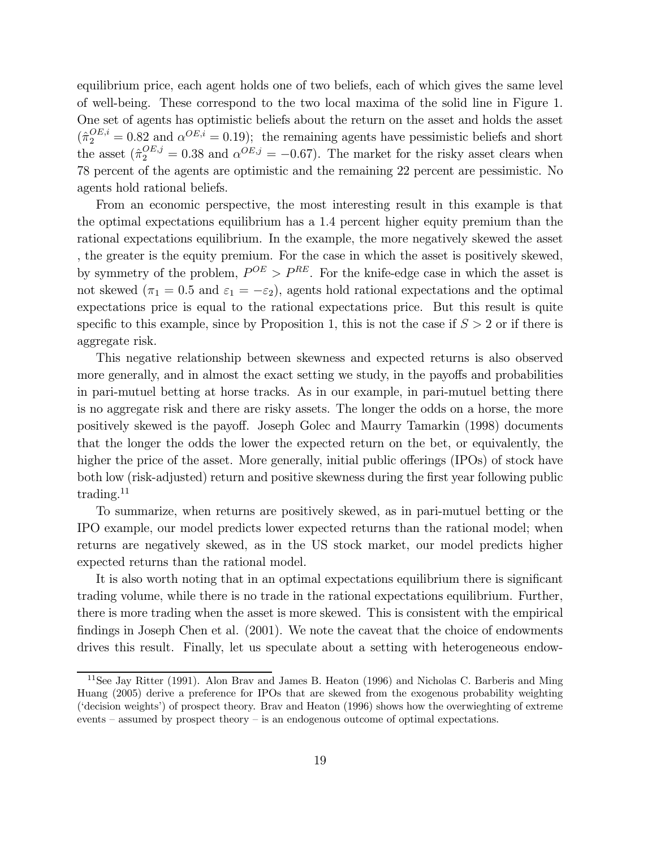equilibrium price, each agent holds one of two beliefs, each of which gives the same level of well-being. These correspond to the two local maxima of the solid line in Figure 1. One set of agents has optimistic beliefs about the return on the asset and holds the asset  $(\hat{\pi}_2^{OE,i} = 0.82 \text{ and } \alpha^{OE,i} = 0.19)$ ; the remaining agents have pessimistic beliefs and short the asset  $(\hat{\pi}_2^{OE,j} = 0.38 \text{ and } \alpha^{OE,j} = -0.67)$ . The market for the risky asset clears when 78 percent of the agents are optimistic and the remaining 22 percent are pessimistic. No agents hold rational beliefs.

From an economic perspective, the most interesting result in this example is that the optimal expectations equilibrium has a 1.4 percent higher equity premium than the rational expectations equilibrium. In the example, the more negatively skewed the asset , the greater is the equity premium. For the case in which the asset is positively skewed, by symmetry of the problem,  $P^{OE} > P^{RE}$ . For the knife-edge case in which the asset is not skewed ( $\pi_1 = 0.5$  and  $\varepsilon_1 = -\varepsilon_2$ ), agents hold rational expectations and the optimal expectations price is equal to the rational expectations price. But this result is quite specific to this example, since by Proposition 1, this is not the case if  $S > 2$  or if there is aggregate risk.

This negative relationship between skewness and expected returns is also observed more generally, and in almost the exact setting we study, in the payoffs and probabilities in pari-mutuel betting at horse tracks. As in our example, in pari-mutuel betting there is no aggregate risk and there are risky assets. The longer the odds on a horse, the more positively skewed is the payoff. Joseph Golec and Maurry Tamarkin (1998) documents that the longer the odds the lower the expected return on the bet, or equivalently, the higher the price of the asset. More generally, initial public offerings (IPOs) of stock have both low (risk-adjusted) return and positive skewness during the first year following public trading. $11$ 

To summarize, when returns are positively skewed, as in pari-mutuel betting or the IPO example, our model predicts lower expected returns than the rational model; when returns are negatively skewed, as in the US stock market, our model predicts higher expected returns than the rational model.

It is also worth noting that in an optimal expectations equilibrium there is significant trading volume, while there is no trade in the rational expectations equilibrium. Further, there is more trading when the asset is more skewed. This is consistent with the empirical findings in Joseph Chen et al. (2001). We note the caveat that the choice of endowments drives this result. Finally, let us speculate about a setting with heterogeneous endow-

<sup>&</sup>lt;sup>11</sup>See Jay Ritter (1991). Alon Brav and James B. Heaton (1996) and Nicholas C. Barberis and Ming Huang (2005) derive a preference for IPOs that are skewed from the exogenous probability weighting ('decision weights') of prospect theory. Brav and Heaton (1996) shows how the overwieghting of extreme events — assumed by prospect theory — is an endogenous outcome of optimal expectations.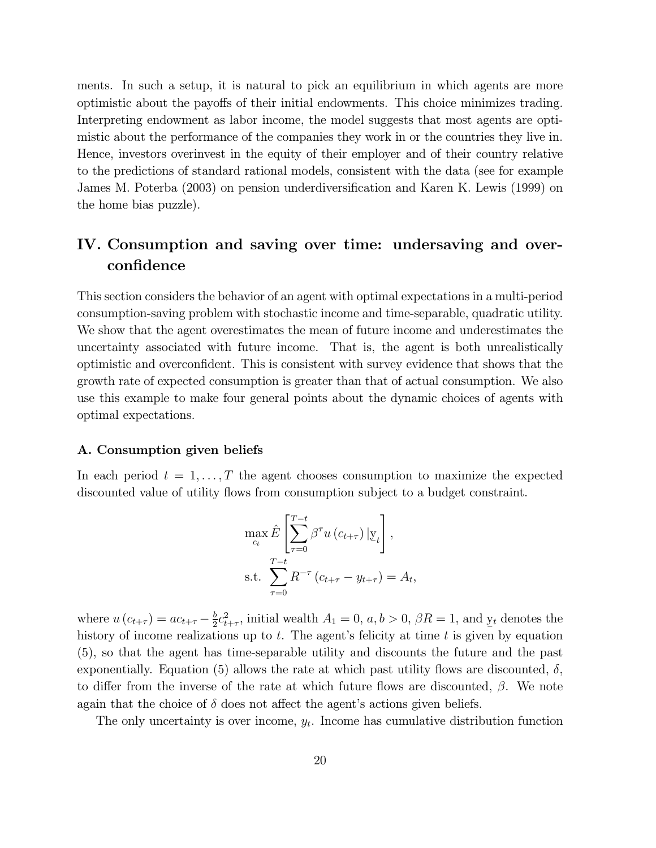ments. In such a setup, it is natural to pick an equilibrium in which agents are more optimistic about the payoffs of their initial endowments. This choice minimizes trading. Interpreting endowment as labor income, the model suggests that most agents are optimistic about the performance of the companies they work in or the countries they live in. Hence, investors overinvest in the equity of their employer and of their country relative to the predictions of standard rational models, consistent with the data (see for example James M. Poterba (2003) on pension underdiversification and Karen K. Lewis (1999) on the home bias puzzle).

## IV. Consumption and saving over time: undersaving and overconfidence

This section considers the behavior of an agent with optimal expectations in a multi-period consumption-saving problem with stochastic income and time-separable, quadratic utility. We show that the agent overestimates the mean of future income and underestimates the uncertainty associated with future income. That is, the agent is both unrealistically optimistic and overconfident. This is consistent with survey evidence that shows that the growth rate of expected consumption is greater than that of actual consumption. We also use this example to make four general points about the dynamic choices of agents with optimal expectations.

#### A. Consumption given beliefs

In each period  $t = 1, \ldots, T$  the agent chooses consumption to maximize the expected discounted value of utility flows from consumption subject to a budget constraint.

$$
\max_{c_t} \hat{E}\left[\sum_{\tau=0}^{T-t} \beta^{\tau} u\left(c_{t+\tau}\right) | \underline{y}_t\right],
$$
  
s.t. 
$$
\sum_{\tau=0}^{T-t} R^{-\tau} \left(c_{t+\tau} - y_{t+\tau}\right) = A_t,
$$

where  $u(c_{t+\tau}) = ac_{t+\tau} - \frac{b}{2}c_{t+\tau}^2$ , initial wealth  $A_1 = 0$ ,  $a, b > 0$ ,  $\beta R = 1$ , and  $y_t$  denotes the history of income realizations up to  $t$ . The agent's felicity at time  $t$  is given by equation (5), so that the agent has time-separable utility and discounts the future and the past exponentially. Equation (5) allows the rate at which past utility flows are discounted,  $\delta$ , to differ from the inverse of the rate at which future flows are discounted,  $\beta$ . We note again that the choice of  $\delta$  does not affect the agent's actions given beliefs.

The only uncertainty is over income,  $y_t$ . Income has cumulative distribution function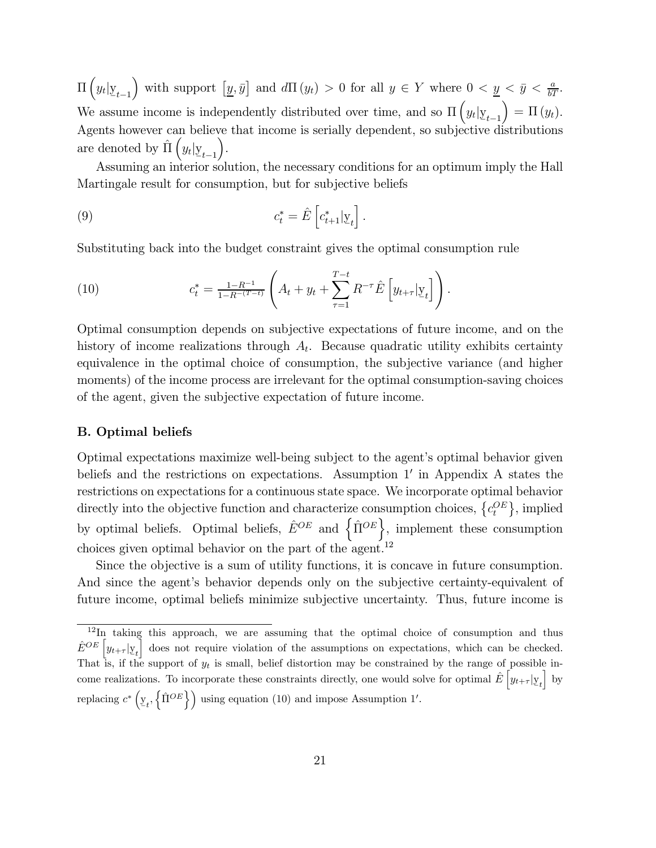$\Pi\left(y_t|y_{t-1}\right)$ with support  $[\underline{y}, \bar{y}]$  and  $d\Pi(y_t) > 0$  for all  $y \in Y$  where  $0 < \underline{y} < \bar{y} < \frac{a}{bT}$ . We assume income is independently distributed over time, and so  $\Pi\left(y_t|y_{t-1}\right)$  $= \Pi(y_t).$ Agents however can believe that income is serially dependent, so subjective distributions are denoted by  $\hat{\Pi} \left( y_t | \underline{y}_{t-1} \right)$ .

 $\frac{\text{arrows } \mathcal{L}_{t-1}}{\text{Assuming an interior solution, the necessary conditions for an optimum imply the Hall.}$ Martingale result for consumption, but for subjective beliefs

(9) 
$$
c_t^* = \hat{E}\left[c_{t+1}^*|\underline{y}_t\right].
$$

Substituting back into the budget constraint gives the optimal consumption rule

(10) 
$$
c_t^* = \frac{1 - R^{-1}}{1 - R^{- (T - t)}} \left( A_t + y_t + \sum_{\tau=1}^{T - t} R^{-\tau} \hat{E} \left[ y_{t + \tau} | \underline{y}_t \right] \right).
$$

Optimal consumption depends on subjective expectations of future income, and on the history of income realizations through  $A_t$ . Because quadratic utility exhibits certainty equivalence in the optimal choice of consumption, the subjective variance (and higher moments) of the income process are irrelevant for the optimal consumption-saving choices of the agent, given the subjective expectation of future income.

#### B. Optimal beliefs

Optimal expectations maximize well-being subject to the agent's optimal behavior given beliefs and the restrictions on expectations. Assumption  $1'$  in Appendix A states the restrictions on expectations for a continuous state space. We incorporate optimal behavior directly into the objective function and characterize consumption choices,  $\{c_t^{OE}\}$ , implied by optimal beliefs. Optimal beliefs,  $\hat{E}^{OE}$  and  $\{\hat{\Pi}^{OE}\}$ , implement these consumption choices given optimal behavior on the part of the agent.<sup>12</sup>

Since the objective is a sum of utility functions, it is concave in future consumption. And since the agent's behavior depends only on the subjective certainty-equivalent of future income, optimal beliefs minimize subjective uncertainty. Thus, future income is

 $12$ In taking this approach, we are assuming that the optimal choice of consumption and thus  $\hat{E}^{OE} \left[ y_{t+\tau} | \underline{y}_t \right]$ <br>That is if the does not require violation of the assumptions on expectations, which can be checked. That is, if the support of  $y_t$  is small, belief distortion may be constrained by the range of possible income realizations. To incorporate these constraints directly, one would solve for optimal  $\hat{E}\left[y_{t+\tau}|\underline{y}_t\right]$  $\vert$  by replacing  $c^* \left( \underline{y}_t, \left\{ \hat{\Pi}^{OE} \right\} \right)$  using equation (10) and impose Assumption 1'.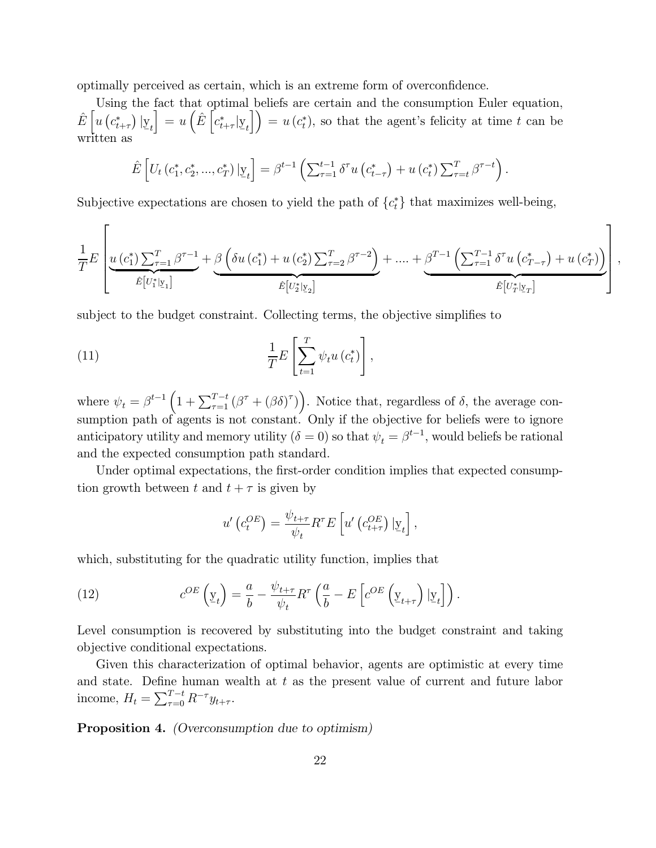optimally perceived as certain, which is an extreme form of overconfidence.

Using the fact that optimal beliefs are certain and the consumption Euler equation,  $\hat{E}\left[u\left(c^*_{t+\tau}\right)|\underline{y}_t\right]$  $\Big] = u \left( \hat{E} \left[ c^*_{t+\tau} | \underline{y}_t \right] \right)$ i´ <sup>=</sup> <sup>u</sup> (c<sup>∗</sup> <sup>t</sup> ), so that the agent's felicity at time t can be written as

$$
\hat{E}\left[U_t(c_1^*, c_2^*, ..., c_T^*)|_{\Sigma_t}\right] = \beta^{t-1}\left(\sum_{\tau=1}^{t-1} \delta^{\tau} u\left(c_{t-\tau}^*\right) + u\left(c_t^*\right)\sum_{\tau=t}^{T} \beta^{\tau-t}\right).
$$

Subjective expectations are chosen to yield the path of  ${c<sub>t</sub><sup>*</sup>}$  that maximizes well-being,

$$
\frac{1}{T}E\left[\underbrace{u(c_1^*)\sum_{\tau=1}^T\beta^{\tau-1}}_{\hat{E}[U_1^*|y_1]}\right]+\underbrace{\beta\left(\delta u(c_1^*)+u(c_2^*)\sum_{\tau=2}^T\beta^{\tau-2}\right)}_{\hat{E}[U_2^*|y_2]}\right]+\dots+\underbrace{\beta^{T-1}\left(\sum_{\tau=1}^{T-1}\delta^{\tau}u(c_{T-\tau}^*)+u(c_T^*)\right)}_{\hat{E}[U_T^*|y_T]}\right],
$$

subject to the budget constraint. Collecting terms, the objective simplifies to

(11) 
$$
\frac{1}{T}E\left[\sum_{t=1}^{T}\psi_t u\left(c_t^*\right)\right],
$$

where  $\psi_t = \beta^{t-1} \left(1 + \sum_{\tau=1}^{T-t} (\beta^{\tau} + (\beta \delta)^{\tau})\right)$ . Notice that, regardless of  $\delta$ , the average consumption path of agents is not constant. Only if the objective for beliefs were to ignore anticipatory utility and memory utility  $(\delta = 0)$  so that  $\psi_t = \beta^{t-1}$ , would beliefs be rational and the expected consumption path standard.

Under optimal expectations, the first-order condition implies that expected consumption growth between t and  $t + \tau$  is given by

$$
u'\left(c_t^{OE}\right) = \frac{\psi_{t+\tau}}{\psi_t} R^{\tau} E\left[u'\left(c_{t+\tau}^{OE}\right)|\underline{y}_t\right],
$$

which, substituting for the quadratic utility function, implies that

(12) 
$$
c^{OE}\left(\underline{y}_t\right) = \frac{a}{b} - \frac{\psi_{t+\tau}}{\psi_t} R^{\tau} \left(\frac{a}{b} - E\left[c^{OE}\left(\underline{y}_{t+\tau}\right)|\underline{y}_t\right]\right).
$$

Level consumption is recovered by substituting into the budget constraint and taking objective conditional expectations.

Given this characterization of optimal behavior, agents are optimistic at every time and state. Define human wealth at t as the present value of current and future labor income,  $H_t = \sum_{\tau=0}^{T-t} R^{-\tau} y_{t+\tau}$ .

Proposition 4. (Overconsumption due to optimism)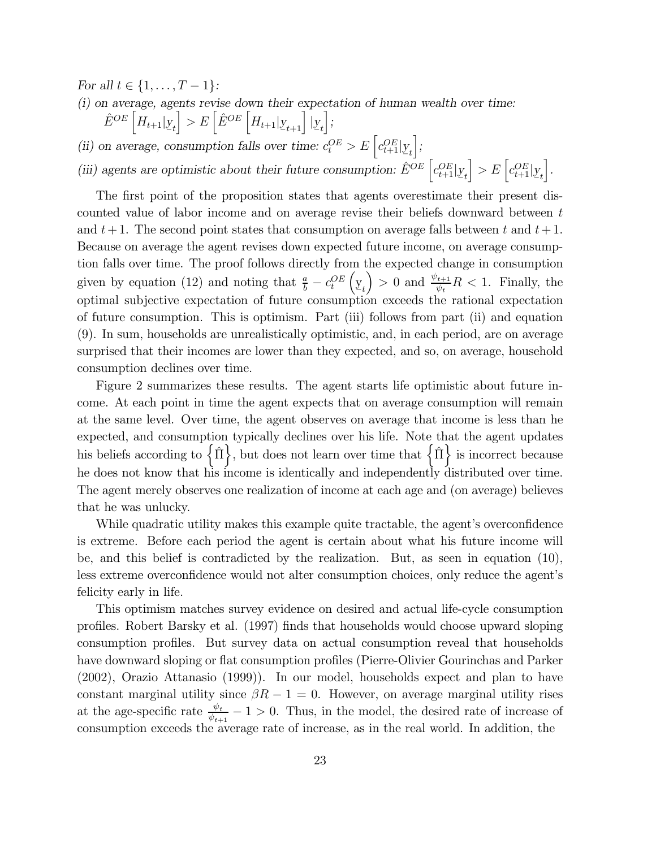For all  $t \in \{1, ..., T-1\}$ :

(i) on average, agents revise down their expectation of human wealth over time:  $\hat{E}^{OE}\left[H_{t+1}|\mathbf{y}_{t}\right]$  $\left[$   $\hat{E}^{OE}\left[H_{t+1}|\underline{y}_{t+1}\right]\left[\underline{y}_{t}\right]$ i ;

(ii) on average, consumption falls over time:  $c_t^{OE} > E\left[c_{t+1}^{OE} | \underline{y}_t\right]$ i ; (iii) agents are optimistic about their future consumption:  $\hat{E}^{OE}$   $\left[c_{t+1}^{OE}|_{\mathcal{Y}_{t}}\right]$  $\Big] > E \left[ c_{t+1}^{OE} | \underline{y}_t \right]$ i .

The first point of the proposition states that agents overestimate their present discounted value of labor income and on average revise their beliefs downward between t and  $t+1$ . The second point states that consumption on average falls between t and  $t+1$ . Because on average the agent revises down expected future income, on average consumption falls over time. The proof follows directly from the expected change in consumption given by equation (12) and noting that  $\frac{a}{b} - c_t^{OE}$  $\left(y\right)$  $rac{t}{t}$  $\left( \begin{array}{c} \text{and} \frac{\psi_{t+1}}{\psi_t} R < 1. \end{array} \right)$  Finally, the optimal subjective expectation of future consumption exceeds the rational expectation of future consumption. This is optimism. Part (iii) follows from part (ii) and equation (9). In sum, households are unrealistically optimistic, and, in each period, are on average surprised that their incomes are lower than they expected, and so, on average, household consumption declines over time.

Figure 2 summarizes these results. The agent starts life optimistic about future income. At each point in time the agent expects that on average consumption will remain at the same level. Over time, the agent observes on average that income is less than he expected, and consumption typically declines over his life. Note that the agent updates his beliefs according to  $\{\hat{\Pi}\}\$ , but does not learn over time that  $\{\hat{\Pi}\}\$ is incorrect because he does not know that his income is identically and independently distributed over time. The agent merely observes one realization of income at each age and (on average) believes that he was unlucky.

While quadratic utility makes this example quite tractable, the agent's overconfidence is extreme. Before each period the agent is certain about what his future income will be, and this belief is contradicted by the realization. But, as seen in equation (10), less extreme overconfidence would not alter consumption choices, only reduce the agent's felicity early in life.

This optimism matches survey evidence on desired and actual life-cycle consumption profiles. Robert Barsky et al. (1997) finds that households would choose upward sloping consumption profiles. But survey data on actual consumption reveal that households have downward sloping or flat consumption profiles (Pierre-Olivier Gourinchas and Parker (2002), Orazio Attanasio (1999)). In our model, households expect and plan to have constant marginal utility since  $\beta R - 1 = 0$ . However, on average marginal utility rises at the age-specific rate  $\frac{\psi_t}{\psi_{t+1}} - 1 > 0$ . Thus, in the model, the desired rate of increase of consumption exceeds the average rate of increase, as in the real world. In addition, the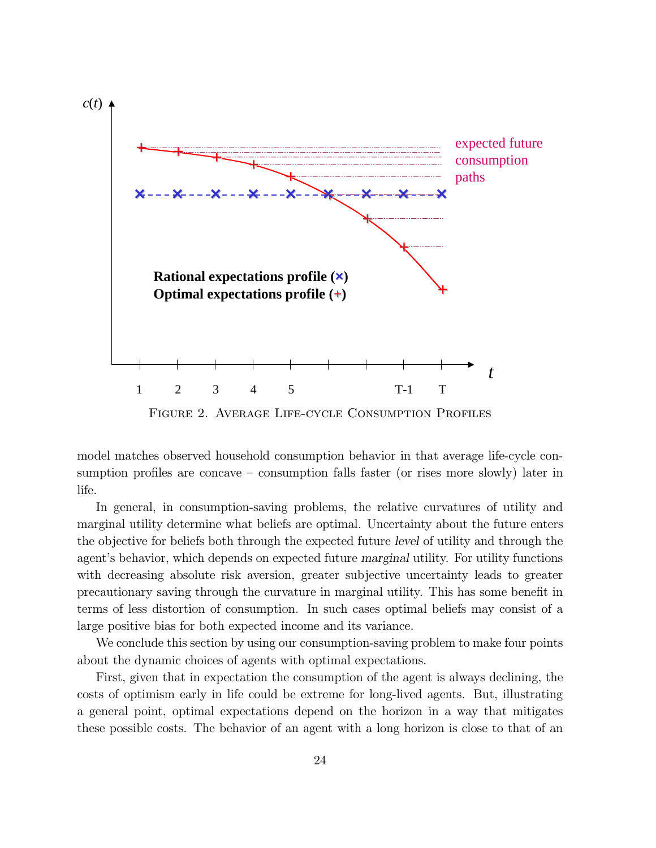

Figure 2. Average Life-cycle Consumption Profiles

model matches observed household consumption behavior in that average life-cycle consumption profiles are concave — consumption falls faster (or rises more slowly) later in life.

In general, in consumption-saving problems, the relative curvatures of utility and marginal utility determine what beliefs are optimal. Uncertainty about the future enters the objective for beliefs both through the expected future level of utility and through the agent's behavior, which depends on expected future marginal utility. For utility functions with decreasing absolute risk aversion, greater subjective uncertainty leads to greater precautionary saving through the curvature in marginal utility. This has some benefit in terms of less distortion of consumption. In such cases optimal beliefs may consist of a large positive bias for both expected income and its variance.

We conclude this section by using our consumption-saving problem to make four points about the dynamic choices of agents with optimal expectations.

First, given that in expectation the consumption of the agent is always declining, the costs of optimism early in life could be extreme for long-lived agents. But, illustrating a general point, optimal expectations depend on the horizon in a way that mitigates these possible costs. The behavior of an agent with a long horizon is close to that of an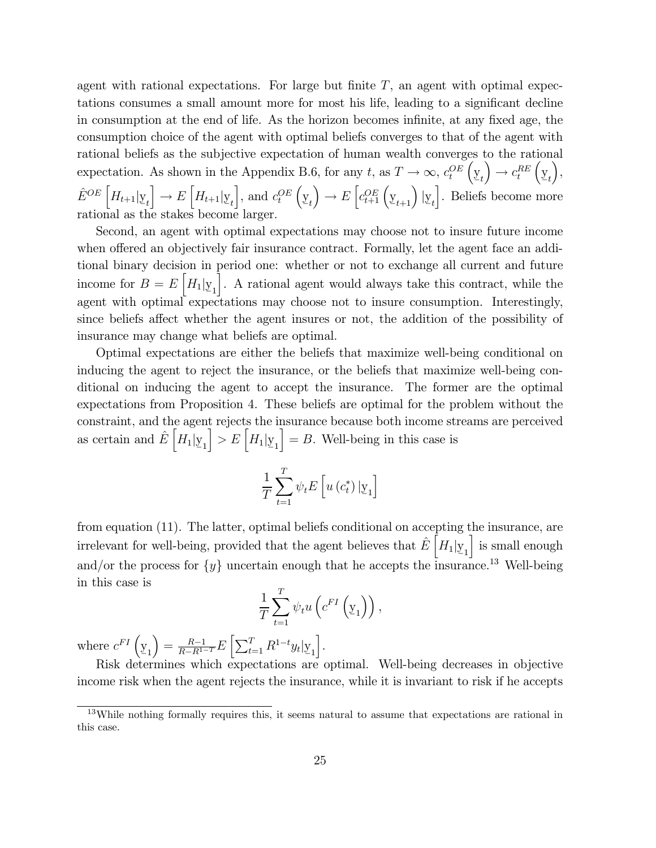agent with rational expectations. For large but finite  $T$ , an agent with optimal expectations consumes a small amount more for most his life, leading to a significant decline in consumption at the end of life. As the horizon becomes infinite, at any fixed age, the consumption choice of the agent with optimal beliefs converges to that of the agent with rational beliefs as the subjective expectation of human wealth converges to the rational expectation. As shown in the Appendix B.6, for any  $t$ , as  $T \to \infty$ ,  $c_t^{OE}$  $\left(\frac{1}{\alpha}\right)$  $\frac{J}{t}$  $\Big) \rightarrow c_t^{RE}$  $\left(y\right)$  $\frac{J}{t}$ ´ ,  $\hat{E}^{OE}\left[H_{t+1}|\underline{y}_{t}\right]$  $\left] \rightarrow E \left[ H_{t+1} | \underline{y}_t \right]$ , and  $c_t^{OE}$  $\left(y\right)$  $\frac{J}{t}$ )  $\rightarrow E\left[c_{t+1}^{OE}\left(\underline{y}_{t+1}\right)|\underline{y}_{t}\right]$ i . Beliefs become more rational as the stakes become larger.

Second, an agent with optimal expectations may choose not to insure future income when offered an objectively fair insurance contract. Formally, let the agent face an additional binary decision in period one: whether or not to exchange all current and future income for  $B = E\left[H_1|_{\mathcal{Y}_1}\right]$ . A rational agent would always take this contract, while the agent with optimal expectations may choose not to insure consumption. Interestingly, since beliefs affect whether the agent insures or not, the addition of the possibility of insurance may change what beliefs are optimal.

Optimal expectations are either the beliefs that maximize well-being conditional on inducing the agent to reject the insurance, or the beliefs that maximize well-being conditional on inducing the agent to accept the insurance. The former are the optimal expectations from Proposition 4. These beliefs are optimal for the problem without the constraint, and the agent rejects the insurance because both income streams are perceived as certain and  $\hat{E} \left[ H_1 | \underline{y}_1 \right]$  $\Big] > E \left[ H_1 | \underline{y}_1 \right]$  $\Big] = B$ . Well-being in this case is

$$
\frac{1}{T}\sum_{t=1}^{T}\psi_{t}E\left[u\left(c_{t}^{*}\right)\vert\underline{\mathbf{y}}_{1}\right]
$$

from equation (11). The latter, optimal beliefs conditional on accepting the insurance, are irrelevant for well-being, provided that the agent believes that  $\hat{E}\left[H_1|_{\underline{y}_1}\right]$  is small enough  $\frac{y_1}{x_2}$ and/or the process for  $\{y\}$  uncertain enough that he accepts the insurance.<sup>13</sup> Well-being in this case is

$$
\frac{1}{T} \sum_{t=1}^{T} \psi_t u\left(c^{FI}\left(\underline{y}_1\right)\right),\,
$$

where  $c^{FI}$   $\left(y\right)$  $\frac{J}{2}$ 1  $= \frac{R-1}{R-R^{1-T}} E \left[ \sum_{t=1}^{T} R^{1-t} y_t | \underline{y}_1 \right]$ i .

Risk determines which expectations are optimal. Well-being decreases in objective income risk when the agent rejects the insurance, while it is invariant to risk if he accepts

<sup>13</sup>While nothing formally requires this, it seems natural to assume that expectations are rational in this case.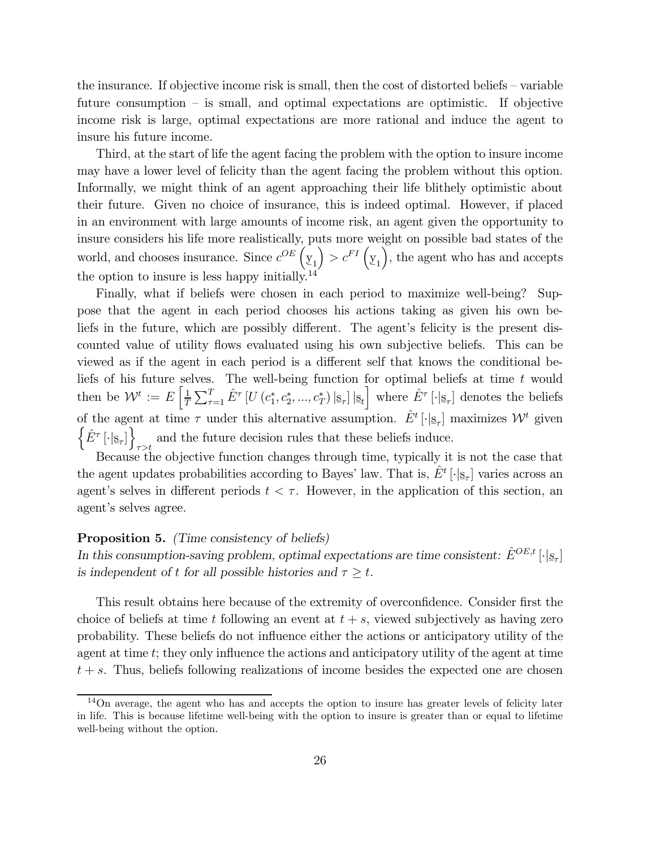the insurance. If objective income risk is small, then the cost of distorted beliefs — variable future consumption — is small, and optimal expectations are optimistic. If objective income risk is large, optimal expectations are more rational and induce the agent to insure his future income.

Third, at the start of life the agent facing the problem with the option to insure income may have a lower level of felicity than the agent facing the problem without this option. Informally, we might think of an agent approaching their life blithely optimistic about their future. Given no choice of insurance, this is indeed optimal. However, if placed in an environment with large amounts of income risk, an agent given the opportunity to insure considers his life more realistically, puts more weight on possible bad states of the world, and chooses insurance. Since  $c^{OE}$   $(y$  $\frac{J}{14}$  $\Big) > c^{FI} \left( y \right)$  $\frac{1}{2}$  $\int$ , the agent who has and accepts the option to insure is less happy initially.<sup>14</sup>

Finally, what if beliefs were chosen in each period to maximize well-being? Suppose that the agent in each period chooses his actions taking as given his own beliefs in the future, which are possibly different. The agent's felicity is the present discounted value of utility flows evaluated using his own subjective beliefs. This can be viewed as if the agent in each period is a different self that knows the conditional beliefs of his future selves. The well-being function for optimal beliefs at time  $t$  would then be  $\mathcal{W}^t := E\left[\frac{1}{T}\right]$  $\frac{1}{T} \sum_{\tau=1}^T \hat{E}^{\tau} \left[ U\left( c_1^*, c_2^*, ..., c_T^* \right) | \mathbf{s}_{\tau} \right] | \mathbf{s}_t$ where  $\hat{E}^{\tau} [\cdot | \underline{\mathbf{s}}_{\tau}]$  denotes the beliefs of the agent at time  $\tau$  under this alternative assumption.  $\hat{E}^t [\cdot | \mathbf{s}_\tau]$  maximizes  $\mathcal{W}^t$  given  $\left\{\hat{E}^{\tau}\left[\cdot|\mathbf{\underline{s}}_{\tau}\right]\right\}$ and the future decision rules that these beliefs induce.

Because the objective function changes through time, typically it is not the case that the agent updates probabilities according to Bayes' law. That is,  $\hat{E}^t[\cdot|_{\mathbf{\mathbb{S}}_{\tau}}]$  varies across an agent's selves in different periods  $t < \tau$ . However, in the application of this section, an agent's selves agree.

#### Proposition 5. (Time consistency of beliefs)

In this consumption-saving problem, optimal expectations are time consistent:  $\hat{E}^{OE,t}[\cdot|\mathbf{s}_{\tau}]$ is independent of t for all possible histories and  $\tau \geq t$ .

This result obtains here because of the extremity of overconfidence. Consider first the choice of beliefs at time t following an event at  $t + s$ , viewed subjectively as having zero probability. These beliefs do not influence either the actions or anticipatory utility of the agent at time t; they only influence the actions and anticipatory utility of the agent at time  $t + s$ . Thus, beliefs following realizations of income besides the expected one are chosen

<sup>14</sup>On average, the agent who has and accepts the option to insure has greater levels of felicity later in life. This is because lifetime well-being with the option to insure is greater than or equal to lifetime well-being without the option.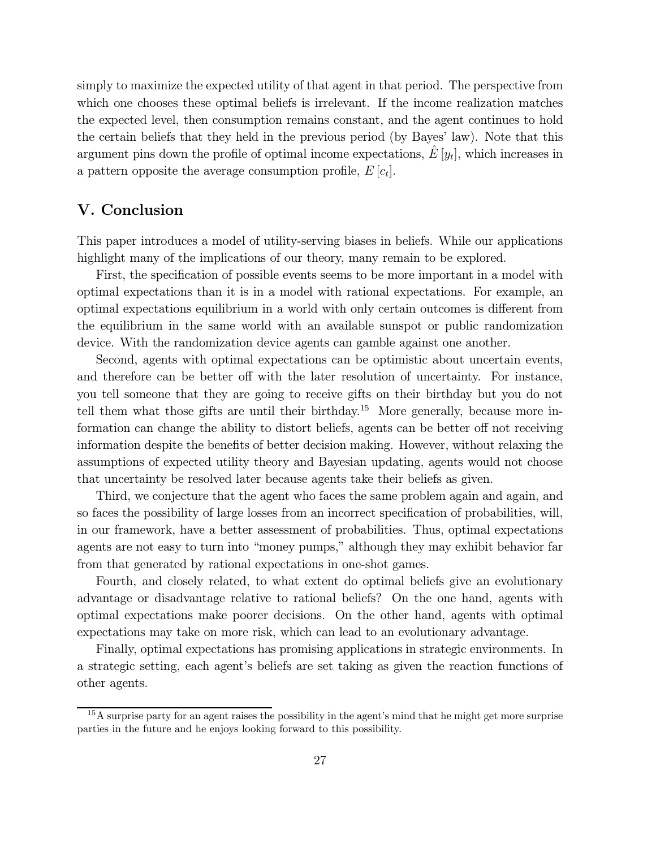simply to maximize the expected utility of that agent in that period. The perspective from which one chooses these optimal beliefs is irrelevant. If the income realization matches the expected level, then consumption remains constant, and the agent continues to hold the certain beliefs that they held in the previous period (by Bayes' law). Note that this argument pins down the profile of optimal income expectations,  $E[y_t]$ , which increases in a pattern opposite the average consumption profile,  $E[c_t]$ .

## V. Conclusion

This paper introduces a model of utility-serving biases in beliefs. While our applications highlight many of the implications of our theory, many remain to be explored.

First, the specification of possible events seems to be more important in a model with optimal expectations than it is in a model with rational expectations. For example, an optimal expectations equilibrium in a world with only certain outcomes is different from the equilibrium in the same world with an available sunspot or public randomization device. With the randomization device agents can gamble against one another.

Second, agents with optimal expectations can be optimistic about uncertain events, and therefore can be better off with the later resolution of uncertainty. For instance, you tell someone that they are going to receive gifts on their birthday but you do not tell them what those gifts are until their birthday.<sup>15</sup> More generally, because more information can change the ability to distort beliefs, agents can be better off not receiving information despite the benefits of better decision making. However, without relaxing the assumptions of expected utility theory and Bayesian updating, agents would not choose that uncertainty be resolved later because agents take their beliefs as given.

Third, we conjecture that the agent who faces the same problem again and again, and so faces the possibility of large losses from an incorrect specification of probabilities, will, in our framework, have a better assessment of probabilities. Thus, optimal expectations agents are not easy to turn into "money pumps," although they may exhibit behavior far from that generated by rational expectations in one-shot games.

Fourth, and closely related, to what extent do optimal beliefs give an evolutionary advantage or disadvantage relative to rational beliefs? On the one hand, agents with optimal expectations make poorer decisions. On the other hand, agents with optimal expectations may take on more risk, which can lead to an evolutionary advantage.

Finally, optimal expectations has promising applications in strategic environments. In a strategic setting, each agent's beliefs are set taking as given the reaction functions of other agents.

<sup>&</sup>lt;sup>15</sup>A surprise party for an agent raises the possibility in the agent's mind that he might get more surprise parties in the future and he enjoys looking forward to this possibility.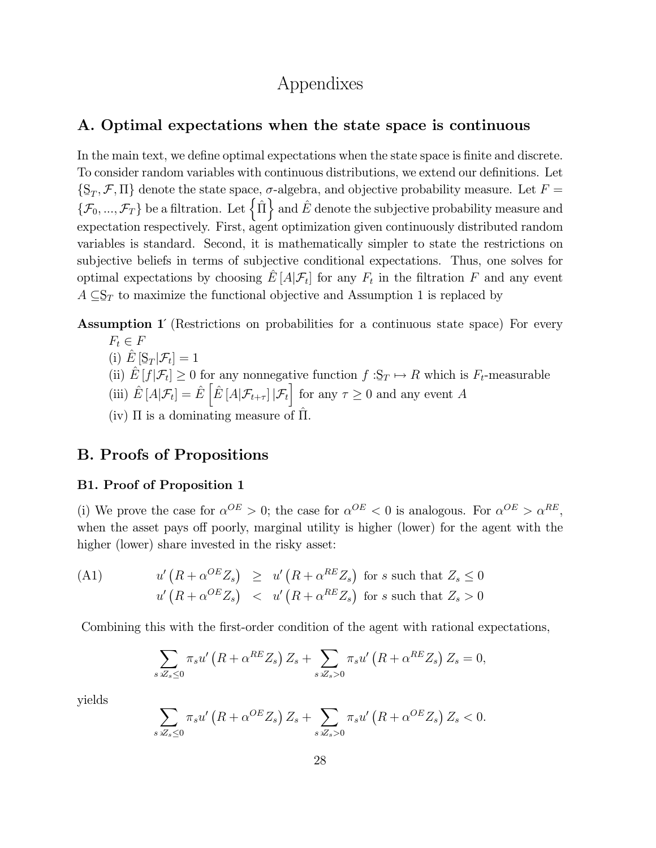## Appendixes

## A. Optimal expectations when the state space is continuous

In the main text, we define optimal expectations when the state space is finite and discrete. To consider random variables with continuous distributions, we extend our definitions. Let  $\{\mathbb{S}_T, \mathcal{F}, \Pi\}$  denote the state space,  $\sigma$ -algebra, and objective probability measure. Let  $F =$  $\{\mathcal{F}_0, ..., \mathcal{F}_T\}$  be a filtration. Let  $\{\hat{\Pi}\}\$ and  $\hat{E}$  denote the subjective probability measure and expectation respectively. First, agent optimization given continuously distributed random variables is standard. Second, it is mathematically simpler to state the restrictions on subjective beliefs in terms of subjective conditional expectations. Thus, one solves for optimal expectations by choosing  $E[A|\mathcal{F}_t]$  for any  $F_t$  in the filtration F and any event  $A \subseteq S_T$  to maximize the functional objective and Assumption 1 is replaced by

Assumption 1´ (Restrictions on probabilities for a continuous state space) For every  $F_t \in F$ (i)  $\hat{E}[\mathbf{S}_T|\mathcal{F}_t]=1$ <br>(ii)  $\hat{E}[\mathbf{f}|\mathcal{F}_t]>0$ (ii)  $\hat{E}[f|\mathcal{F}_t] \ge 0$  for any nonnegative function  $f : S_T \mapsto R$  which is  $F_t$ -measurable (iii)  $\hat{E}[A|\mathcal{F}_t] = \hat{E}[\hat{E}[A|\mathcal{F}_{t+\tau}]|\mathcal{F}_t]$  for any  $\tau \ge 0$  and any event A (iv)  $\Pi$  is a dominating measure of  $\Pi$ .

## B. Proofs of Propositions

#### B1. Proof of Proposition 1

(i) We prove the case for  $\alpha^{OE} > 0$ ; the case for  $\alpha^{OE} < 0$  is analogous. For  $\alpha^{OE} > \alpha^{RE}$ , when the asset pays off poorly, marginal utility is higher (lower) for the agent with the higher (lower) share invested in the risky asset:

(A1) 
$$
u' (R + \alpha^{OE} Z_s) \geq u' (R + \alpha^{RE} Z_s) \text{ for } s \text{ such that } Z_s \leq 0
$$

$$
u' (R + \alpha^{OE} Z_s) < u' (R + \alpha^{RE} Z_s) \text{ for } s \text{ such that } Z_s > 0
$$

Combining this with the first-order condition of the agent with rational expectations,

$$
\sum_{s \geq S_s \leq 0} \pi_s u' \left( R + \alpha^{RE} Z_s \right) Z_s + \sum_{s \geq S_s > 0} \pi_s u' \left( R + \alpha^{RE} Z_s \right) Z_s = 0,
$$

yields

$$
\sum_{s \ge Z_s \le 0} \pi_s u' \left( R + \alpha^{OE} Z_s \right) Z_s + \sum_{s \ge Z_s > 0} \pi_s u' \left( R + \alpha^{OE} Z_s \right) Z_s < 0.
$$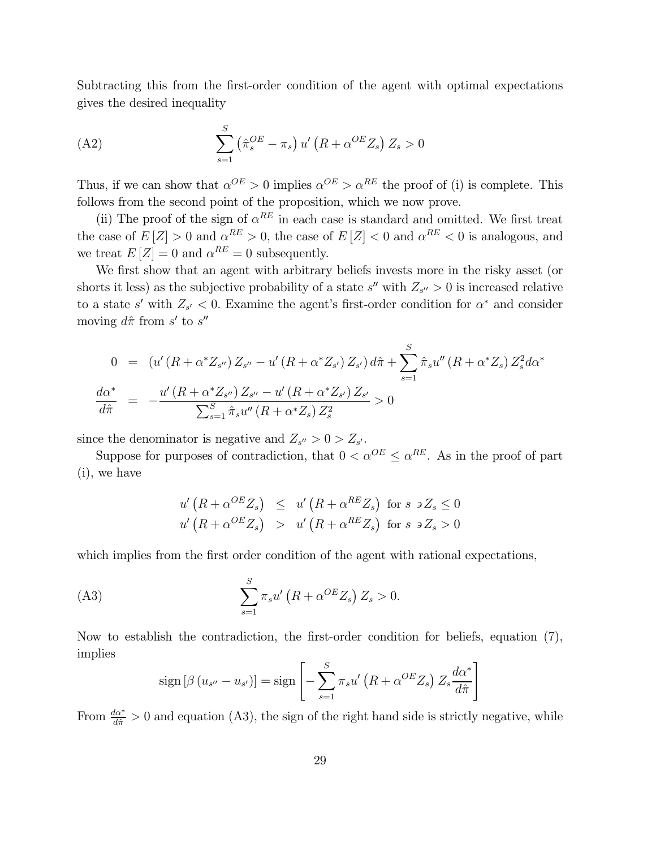Subtracting this from the first-order condition of the agent with optimal expectations gives the desired inequality

(A2) 
$$
\sum_{s=1}^{S} \left( \hat{\pi}_{s}^{OE} - \pi_{s} \right) u' \left( R + \alpha^{OE} Z_{s} \right) Z_{s} > 0
$$

Thus, if we can show that  $\alpha^{OE} > 0$  implies  $\alpha^{OE} > \alpha^{RE}$  the proof of (i) is complete. This follows from the second point of the proposition, which we now prove.

(ii) The proof of the sign of  $\alpha^{RE}$  in each case is standard and omitted. We first treat the case of  $E[Z] > 0$  and  $\alpha^{RE} > 0$ , the case of  $E[Z] < 0$  and  $\alpha^{RE} < 0$  is analogous, and we treat  $E[Z] = 0$  and  $\alpha^{RE} = 0$  subsequently.

We first show that an agent with arbitrary beliefs invests more in the risky asset (or shorts it less) as the subjective probability of a state  $s''$  with  $Z_{s''} > 0$  is increased relative to a state s' with  $Z_{s'} < 0$ . Examine the agent's first-order condition for  $\alpha^*$  and consider moving  $d\hat{\pi}$  from s' to s''

$$
0 = (u'(R + \alpha^* Z_{s''}) Z_{s''} - u'(R + \alpha^* Z_{s'}) Z_{s'}) d\hat{\pi} + \sum_{s=1}^S \hat{\pi}_s u'' (R + \alpha^* Z_s) Z_s^2 d\alpha^*
$$
  

$$
\frac{d\alpha^*}{d\hat{\pi}} = -\frac{u'(R + \alpha^* Z_{s''}) Z_{s''} - u'(R + \alpha^* Z_{s'}) Z_{s'}}{\sum_{s=1}^S \hat{\pi}_s u'' (R + \alpha^* Z_s) Z_s^2} > 0
$$

since the denominator is negative and  $Z_{s''} > 0 > Z_{s'}$ .

Suppose for purposes of contradiction, that  $0 < \alpha^{OE} \le \alpha^{RE}$ . As in the proof of part (i), we have

$$
u'\left(R + \alpha^{OE}Z_s\right) \leq u'\left(R + \alpha^{RE}Z_s\right) \text{ for } s \text{ } \mathfrak{I}Z_s \leq 0
$$
  

$$
u'\left(R + \alpha^{OE}Z_s\right) > u'\left(R + \alpha^{RE}Z_s\right) \text{ for } s \text{ } \mathfrak{I}Z_s > 0
$$

which implies from the first order condition of the agent with rational expectations,

(A3) 
$$
\sum_{s=1}^{S} \pi_s u' \left( R + \alpha^{OE} Z_s \right) Z_s > 0.
$$

Now to establish the contradiction, the first-order condition for beliefs, equation (7), implies

$$
\operatorname{sign}\left[\beta\left(u_{s''}-u_{s'}\right)\right]=\operatorname{sign}\left[-\sum_{s=1}^S\pi_s u'\left(R+\alpha^{OE}Z_s\right)Z_s\frac{d\alpha^*}{d\hat{\pi}}\right]
$$

From  $\frac{d\alpha^*}{d\hat{\pi}} > 0$  and equation (A3), the sign of the right hand side is strictly negative, while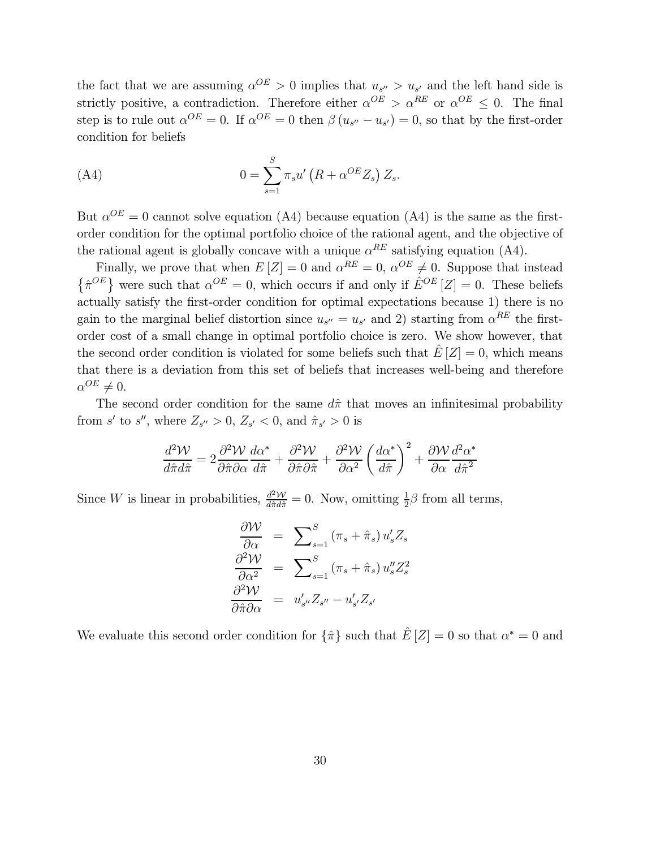the fact that we are assuming  $\alpha^{OE} > 0$  implies that  $u_{s''} > u_{s'}$  and the left hand side is strictly positive, a contradiction. Therefore either  $\alpha^{OE} > \alpha^{RE}$  or  $\alpha^{OE} \leq 0$ . The final step is to rule out  $\alpha^{OE} = 0$ . If  $\alpha^{OE} = 0$  then  $\beta (u_{s''} - u_{s'}) = 0$ , so that by the first-order condition for beliefs

(A4) 
$$
0 = \sum_{s=1}^{S} \pi_s u' \left( R + \alpha^{OE} Z_s \right) Z_s.
$$

But  $\alpha^{OE} = 0$  cannot solve equation (A4) because equation (A4) is the same as the firstorder condition for the optimal portfolio choice of the rational agent, and the objective of the rational agent is globally concave with a unique  $\alpha^{RE}$  satisfying equation (A4).

Finally, we prove that when  $E[Z] = 0$  and  $\alpha^{RE} = 0$ ,  $\alpha^{OE} \neq 0$ . Suppose that instead  $\{\hat{\pi}^{OE}\}\$  were such that  $\alpha^{OE} = 0$ , which occurs if and only if  $\hat{E}^{OE}[Z] = 0$ . These beliefs actually satisfy the first-order condition for optimal expectations because 1) there is no gain to the marginal belief distortion since  $u_{s''} = u_{s'}$  and 2) starting from  $\alpha^{RE}$  the firstorder cost of a small change in optimal portfolio choice is zero. We show however, that the second order condition is violated for some beliefs such that  $E[Z] = 0$ , which means that there is a deviation from this set of beliefs that increases well-being and therefore  $\alpha^{OE} \neq 0.$ 

The second order condition for the same  $d\hat{\pi}$  that moves an infinitesimal probability from s' to s'', where  $Z_{s''} > 0$ ,  $Z_{s'} < 0$ , and  $\hat{\pi}_{s'} > 0$  is

$$
\frac{d^2\mathcal{W}}{d\hat{\pi}d\hat{\pi}} = 2\frac{\partial^2 \mathcal{W}}{\partial \hat{\pi}\partial \alpha}\frac{d\alpha^*}{d\hat{\pi}} + \frac{\partial^2 \mathcal{W}}{\partial \hat{\pi}\partial \hat{\pi}} + \frac{\partial^2 \mathcal{W}}{\partial \alpha^2} \left(\frac{d\alpha^*}{d\hat{\pi}}\right)^2 + \frac{\partial \mathcal{W}}{\partial \alpha}\frac{d^2 \alpha^*}{d\hat{\pi}^2}
$$

Since W is linear in probabilities,  $\frac{d^2W}{d\hat{\pi}d\hat{\pi}} = 0$ . Now, omitting  $\frac{1}{2}\beta$  from all terms,

$$
\frac{\partial \mathcal{W}}{\partial \alpha} = \sum_{s=1}^{S} (\pi_s + \hat{\pi}_s) u_s' Z_s
$$

$$
\frac{\partial^2 \mathcal{W}}{\partial \alpha^2} = \sum_{s=1}^{S} (\pi_s + \hat{\pi}_s) u_s'' Z_s^2
$$

$$
\frac{\partial^2 \mathcal{W}}{\partial \hat{\pi} \partial \alpha} = u_{s''}' Z_{s''} - u_{s'}' Z_{s'}
$$

We evaluate this second order condition for  $\{\hat{\pi}\}\$  such that  $\hat{E}[Z] = 0$  so that  $\alpha^* = 0$  and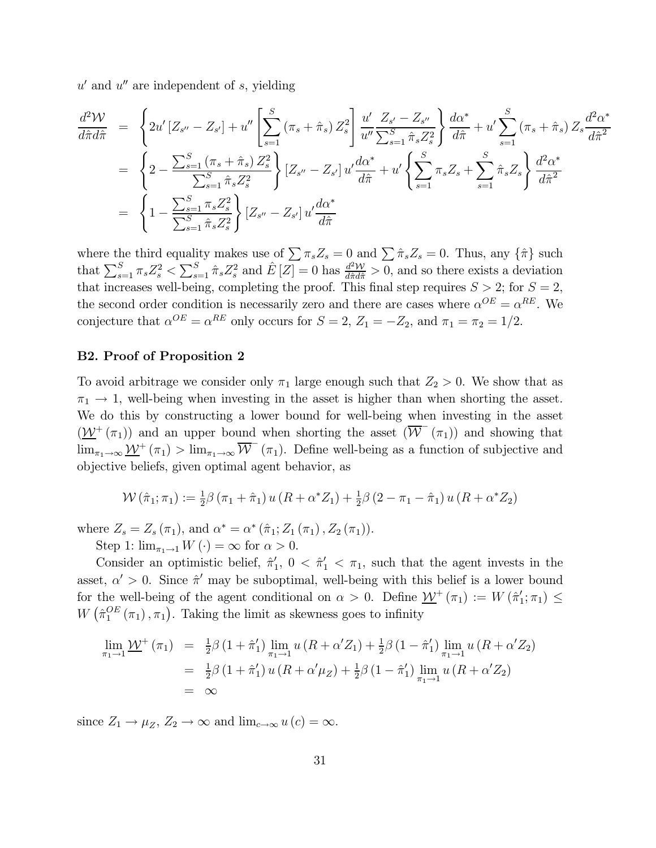$u'$  and  $u''$  are independent of s, yielding

$$
\frac{d^2\mathcal{W}}{d\hat{\pi}d\hat{\pi}} = \left\{ 2u' \left[ Z_{s''} - Z_{s'} \right] + u'' \left[ \sum_{s=1}^S \left( \pi_s + \hat{\pi}_s \right) Z_s^2 \right] \frac{u'}{u''} \frac{Z_{s'} - Z_{s''}}{\sum_{s=1}^S \hat{\pi}_s Z_s^2} \right\} \frac{d\alpha^*}{d\hat{\pi}} + u' \sum_{s=1}^S \left( \pi_s + \hat{\pi}_s \right) Z_s \frac{d^2 \alpha^*}{d\hat{\pi}^2} \n= \left\{ 2 - \frac{\sum_{s=1}^S \left( \pi_s + \hat{\pi}_s \right) Z_s^2}{\sum_{s=1}^S \hat{\pi}_s Z_s^2} \right\} \left[ Z_{s''} - Z_{s'} \right] u' \frac{d\alpha^*}{d\hat{\pi}} + u' \left\{ \sum_{s=1}^S \pi_s Z_s + \sum_{s=1}^S \hat{\pi}_s Z_s \right\} \frac{d^2 \alpha^*}{d\hat{\pi}^2} \n= \left\{ 1 - \frac{\sum_{s=1}^S \pi_s Z_s^2}{\sum_{s=1}^S \hat{\pi}_s Z_s^2} \right\} \left[ Z_{s''} - Z_{s'} \right] u' \frac{d\alpha^*}{d\hat{\pi}}
$$

where the third equality makes use of  $\sum \pi_s Z_s = 0$  and  $\sum \hat{\pi}_s Z_s = 0$ . Thus, any  $\{\hat{\pi}\}\$  such that  $\sum_{s=1}^{S} \pi_s Z_s^2 < \sum_{s=1}^{S} \hat{\pi}_s Z_s^2$  and  $\hat{E}[Z] = 0$  has  $\frac{d^2 \mathcal{W}}{d \hat{\pi} d \hat{\pi}} > 0$ , and so there exists a deviation that increases well-being, completing the proof. This final step requires  $S > 2$ ; for  $S = 2$ , the second order condition is necessarily zero and there are cases where  $\alpha^{OE} = \alpha^{RE}$ . We conjecture that  $\alpha^{OE} = \alpha^{RE}$  only occurs for  $S = 2$ ,  $Z_1 = -Z_2$ , and  $\pi_1 = \pi_2 = 1/2$ .

#### B2. Proof of Proposition 2

To avoid arbitrage we consider only  $\pi_1$  large enough such that  $Z_2 > 0$ . We show that as  $\pi_1 \rightarrow 1$ , well-being when investing in the asset is higher than when shorting the asset. We do this by constructing a lower bound for well-being when investing in the asset  $(\mathcal{W}^+(\pi_1))$  and an upper bound when shorting the asset  $(\overline{\mathcal{W}}^-(\pi_1))$  and showing that  $\lim_{\pi_1\to\infty}\underline{\mathcal{W}}^+(\pi_1) > \lim_{\pi_1\to\infty}\overline{\mathcal{W}}^-(\pi_1)$ . Define well-being as a function of subjective and objective beliefs, given optimal agent behavior, as

$$
W(\hat{\pi}_1; \pi_1) := \frac{1}{2}\beta(\pi_1 + \hat{\pi}_1) u (R + \alpha^* Z_1) + \frac{1}{2}\beta(2 - \pi_1 - \hat{\pi}_1) u (R + \alpha^* Z_2)
$$

where  $Z_s = Z_s(\pi_1)$ , and  $\alpha^* = \alpha^* (\hat{\pi}_1; Z_1(\pi_1), Z_2(\pi_1)).$ 

Step 1:  $\lim_{\pi_1 \to 1} W(\cdot) = \infty$  for  $\alpha > 0$ .

Consider an optimistic belief,  $\hat{\pi}'_1$ ,  $0 < \hat{\pi}'_1 < \pi_1$ , such that the agent invests in the asset,  $\alpha' > 0$ . Since  $\hat{\pi}'$  may be suboptimal, well-being with this belief is a lower bound for the well-being of the agent conditional on  $\alpha > 0$ . Define  $\underline{\mathcal{W}}^+(\pi_1) := W(\hat{\pi}'_1; \pi_1) \le$  $W\left(\hat{\pi}_1^{OE}\left(\pi_1\right),\pi_1\right)$ . Taking the limit as skewness goes to infinity

$$
\lim_{\pi_1 \to 1} \underline{\mathcal{W}}^+(\pi_1) = \frac{1}{2}\beta (1 + \hat{\pi}'_1) \lim_{\pi_1 \to 1} u (R + \alpha' Z_1) + \frac{1}{2}\beta (1 - \hat{\pi}'_1) \lim_{\pi_1 \to 1} u (R + \alpha' Z_2)
$$
  
\n
$$
= \frac{1}{2}\beta (1 + \hat{\pi}'_1) u (R + \alpha' \mu_Z) + \frac{1}{2}\beta (1 - \hat{\pi}'_1) \lim_{\pi_1 \to 1} u (R + \alpha' Z_2)
$$
  
\n
$$
= \infty
$$

since  $Z_1 \to \mu_Z$ ,  $Z_2 \to \infty$  and  $\lim_{c \to \infty} u(c) = \infty$ .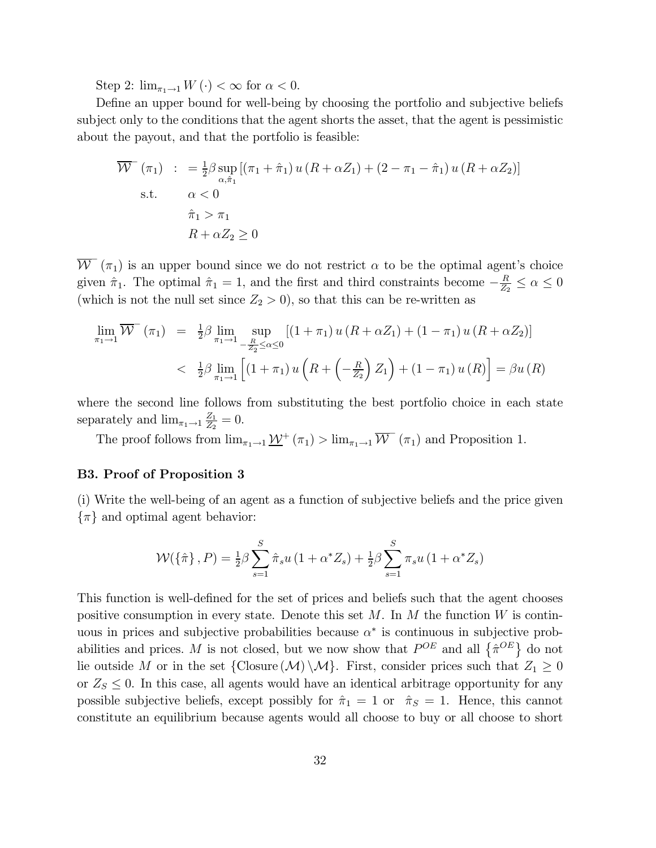Step 2:  $\lim_{\pi_1 \to 1} W(\cdot) < \infty$  for  $\alpha < 0$ .

Define an upper bound for well-being by choosing the portfolio and subjective beliefs subject only to the conditions that the agent shorts the asset, that the agent is pessimistic about the payout, and that the portfolio is feasible:

$$
\overline{\mathcal{W}}^-(\pi_1) := \frac{1}{2}\beta \sup_{\alpha,\hat{\pi}_1} [(\pi_1 + \hat{\pi}_1) u (R + \alpha Z_1) + (2 - \pi_1 - \hat{\pi}_1) u (R + \alpha Z_2)]
$$
  
s.t.  $\alpha < 0$   
 $\hat{\pi}_1 > \pi_1$   
 $R + \alpha Z_2 \ge 0$ 

 $\overline{W}^-(\pi_1)$  is an upper bound since we do not restrict  $\alpha$  to be the optimal agent's choice given  $\hat{\pi}_1$ . The optimal  $\hat{\pi}_1 = 1$ , and the first and third constraints become  $-\frac{R}{Z_2} \le \alpha \le 0$ (which is not the null set since  $Z_2 > 0$ ), so that this can be re-written as

$$
\lim_{\pi_1 \to 1} \overline{\mathcal{W}}^-(\pi_1) = \frac{1}{2}\beta \lim_{\pi_1 \to 1} \sup_{-\frac{R}{Z_2} \le \alpha \le 0} [(1 + \pi_1) u (R + \alpha Z_1) + (1 - \pi_1) u (R + \alpha Z_2)]
$$
  

$$
< \frac{1}{2}\beta \lim_{\pi_1 \to 1} [(1 + \pi_1) u (R + (-\frac{R}{Z_2}) Z_1) + (1 - \pi_1) u (R)] = \beta u (R)
$$

where the second line follows from substituting the best portfolio choice in each state separately and  $\lim_{\pi_1 \to 1} \frac{Z_1}{Z_2} = 0.$ 

The proof follows from  $\lim_{\pi_1 \to 1} \underline{\mathcal{W}}^+(\pi_1) > \lim_{\pi_1 \to 1} \overline{\mathcal{W}}^-(\pi_1)$  and Proposition 1.

#### B3. Proof of Proposition 3

(i) Write the well-being of an agent as a function of subjective beliefs and the price given  $\{\pi\}$  and optimal agent behavior:

$$
W(\{\hat{\pi}\}, P) = \frac{1}{2}\beta \sum_{s=1}^{S} \hat{\pi}_{s} u (1 + \alpha^{*} Z_{s}) + \frac{1}{2}\beta \sum_{s=1}^{S} \pi_{s} u (1 + \alpha^{*} Z_{s})
$$

This function is well-defined for the set of prices and beliefs such that the agent chooses positive consumption in every state. Denote this set M. In M the function  $W$  is continuous in prices and subjective probabilities because  $\alpha^*$  is continuous in subjective probabilities and prices. M is not closed, but we now show that  $P^{OE}$  and all  $\{\hat{\pi}^{OE}\}\$ do not lie outside M or in the set  $\{Closure(\mathcal{M})\setminus\mathcal{M}\}.$  First, consider prices such that  $Z_1 \geq 0$ or  $Z_s \leq 0$ . In this case, all agents would have an identical arbitrage opportunity for any possible subjective beliefs, except possibly for  $\hat{\pi}_1 = 1$  or  $\hat{\pi}_S = 1$ . Hence, this cannot constitute an equilibrium because agents would all choose to buy or all choose to short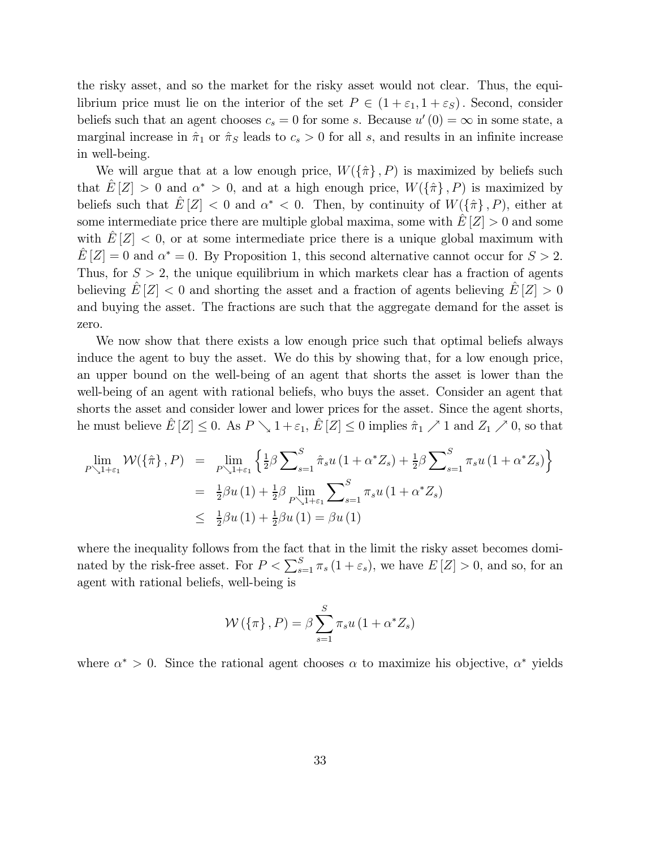the risky asset, and so the market for the risky asset would not clear. Thus, the equilibrium price must lie on the interior of the set  $P \in (1 + \varepsilon_1, 1 + \varepsilon_S)$ . Second, consider beliefs such that an agent chooses  $c_s = 0$  for some s. Because  $u'(0) = \infty$  in some state, a marginal increase in  $\hat{\pi}_1$  or  $\hat{\pi}_S$  leads to  $c_s > 0$  for all s, and results in an infinite increase in well-being.

We will argue that at a low enough price,  $W(\{\hat{\pi}\},P)$  is maximized by beliefs such that  $E[Z] > 0$  and  $\alpha^* > 0$ , and at a high enough price,  $W(\{\hat{\pi}\}, P)$  is maximized by beliefs such that  $E[Z] < 0$  and  $\alpha^* < 0$ . Then, by continuity of  $W(\{\hat{\pi}\},P)$ , either at some intermediate price there are multiple global maxima, some with  $E[Z] > 0$  and some with  $E|Z| < 0$ , or at some intermediate price there is a unique global maximum with  $\hat{E}[Z] = 0$  and  $\alpha^* = 0$ . By Proposition 1, this second alternative cannot occur for  $S > 2$ . Thus, for  $S > 2$ , the unique equilibrium in which markets clear has a fraction of agents believing  $E[\overline{Z}]$  < 0 and shorting the asset and a fraction of agents believing  $E[\overline{Z}] > 0$ and buying the asset. The fractions are such that the aggregate demand for the asset is zero.

We now show that there exists a low enough price such that optimal beliefs always induce the agent to buy the asset. We do this by showing that, for a low enough price, an upper bound on the well-being of an agent that shorts the asset is lower than the well-being of an agent with rational beliefs, who buys the asset. Consider an agent that shorts the asset and consider lower and lower prices for the asset. Since the agent shorts, he must believe  $\hat{E}[Z] \leq 0$ . As  $P \setminus 1 + \varepsilon_1$ ,  $\hat{E}[Z] \leq 0$  implies  $\hat{\pi}_1 \nearrow 1$  and  $Z_1 \nearrow 0$ , so that

$$
\lim_{P \searrow 1 + \varepsilon_1} \mathcal{W}(\{\hat{\pi}\}, P) = \lim_{P \searrow 1 + \varepsilon_1} \left\{ \frac{1}{2} \beta \sum_{s=1}^S \hat{\pi}_s u (1 + \alpha^* Z_s) + \frac{1}{2} \beta \sum_{s=1}^S \pi_s u (1 + \alpha^* Z_s) \right\}
$$
  
\n
$$
= \frac{1}{2} \beta u (1) + \frac{1}{2} \beta \lim_{P \searrow 1 + \varepsilon_1} \sum_{s=1}^S \pi_s u (1 + \alpha^* Z_s)
$$
  
\n
$$
\leq \frac{1}{2} \beta u (1) + \frac{1}{2} \beta u (1) = \beta u (1)
$$

where the inequality follows from the fact that in the limit the risky asset becomes dominated by the risk-free asset. For  $P < \sum_{s=1}^{S} \pi_s (1 + \varepsilon_s)$ , we have  $E[Z] > 0$ , and so, for an agent with rational beliefs, well-being is

$$
W(\lbrace \pi \rbrace, P) = \beta \sum_{s=1}^{S} \pi_s u (1 + \alpha^* Z_s)
$$

where  $\alpha^* > 0$ . Since the rational agent chooses  $\alpha$  to maximize his objective,  $\alpha^*$  yields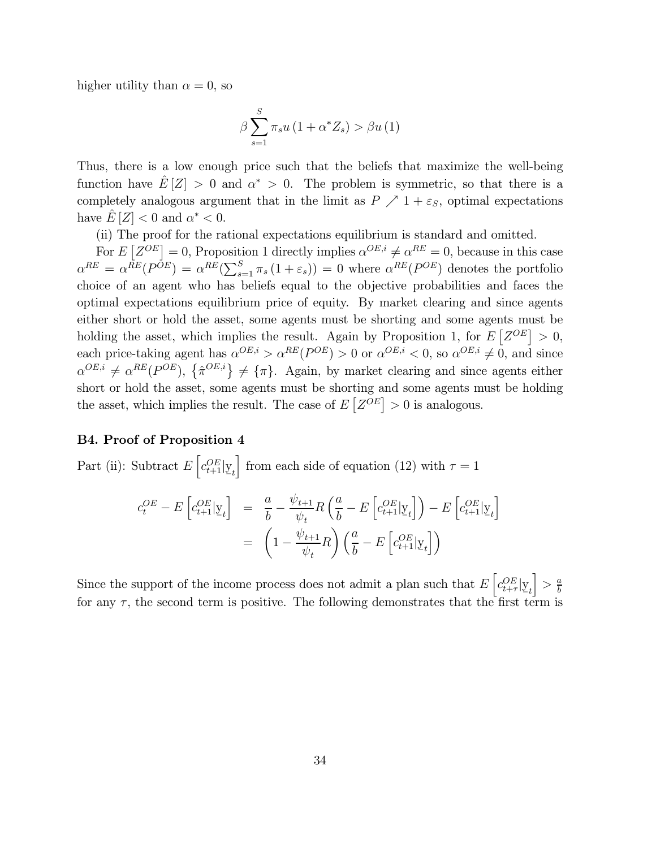higher utility than  $\alpha = 0$ , so

$$
\beta \sum_{s=1}^{S} \pi_s u \left( 1 + \alpha^* Z_s \right) > \beta u \left( 1 \right)
$$

Thus, there is a low enough price such that the beliefs that maximize the well-being function have  $E[Z] > 0$  and  $\alpha^* > 0$ . The problem is symmetric, so that there is a completely analogous argument that in the limit as  $P \nearrow 1 + \varepsilon_S$ , optimal expectations have  $E[Z] < 0$  and  $\alpha^* < 0$ .

(ii) The proof for the rational expectations equilibrium is standard and omitted.

For  $E\left[Z^{OE}\right] = 0$ , Proposition 1 directly implies  $\alpha^{OE,i} \neq \alpha^{RE} = 0$ , because in this case  $\alpha^{RE} = \alpha^{\overline{RE}}(P^{\overline{O}E}) = \alpha^{RE}(\sum_{s=1}^{S} \pi_s(1+\varepsilon_s)) = 0$  where  $\alpha^{RE}(P^{OE})$  denotes the portfolio choice of an agent who has beliefs equal to the objective probabilities and faces the optimal expectations equilibrium price of equity. By market clearing and since agents either short or hold the asset, some agents must be shorting and some agents must be holding the asset, which implies the result. Again by Proposition 1, for  $E[Z^{OE}] > 0$ , each price-taking agent has  $\alpha^{OE,i} > \alpha^{RE}(P^{OE}) > 0$  or  $\alpha^{OE,i} < 0$ , so  $\alpha^{OE,i} \neq 0$ , and since  $\alpha^{OE,i} \neq \alpha^{RE}(P^{OE}), \{\hat{\pi}^{OE,i}\} \neq {\pi}$ . Again, by market clearing and since agents either short or hold the asset, some agents must be shorting and some agents must be holding the asset, which implies the result. The case of  $E[Z^{OE}] > 0$  is analogous.

#### B4. Proof of Proposition 4

Part (ii): Subtract  $E\left[c_{t+1}^{OE}|\mathbf{y}_t\right]$ from each side of equation (12) with  $\tau = 1$ 

$$
c_t^{OE} - E\left[c_{t+1}^{OE}|\mathbf{y}_t\right] = \frac{a}{b} - \frac{\psi_{t+1}}{\psi_t} R\left(\frac{a}{b} - E\left[c_{t+1}^{OE}|\mathbf{y}_t\right]\right) - E\left[c_{t+1}^{OE}|\mathbf{y}_t\right]
$$

$$
= \left(1 - \frac{\psi_{t+1}}{\psi_t} R\right) \left(\frac{a}{b} - E\left[c_{t+1}^{OE}|\mathbf{y}_t\right]\right)
$$

Since the support of the income process does not admit a plan such that  $E\left[c_{t+\tau}^{OE}|y_t\right]$  $\Big] > \frac{a}{b}$ for any  $\tau$ , the second term is positive. The following demonstrates that the first term is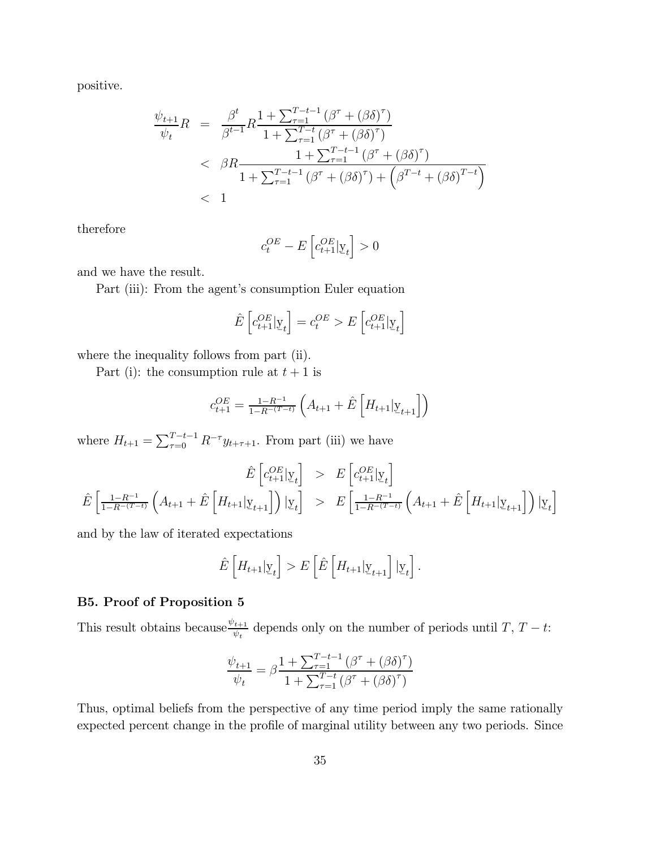positive.

$$
\frac{\psi_{t+1}}{\psi_t}R = \frac{\beta^t}{\beta^{t-1}} R \frac{1 + \sum_{\tau=1}^{T-t-1} (\beta^{\tau} + (\beta \delta)^{\tau})}{1 + \sum_{\tau=1}^{T-t} (\beta^{\tau} + (\beta \delta)^{\tau})}
$$
  
<  $\beta R \frac{1 + \sum_{\tau=1}^{T-t-1} (\beta^{\tau} + (\beta \delta)^{\tau})}{1 + \sum_{\tau=1}^{T-t-1} (\beta^{\tau} + (\beta \delta)^{\tau}) + (\beta^{T-t} + (\beta \delta)^{T-t})}$   
< 1

therefore

$$
c_t^{OE} - E\left[c_{t+1}^{OE}|\mathbf{y}_t\right] > 0
$$

and we have the result.

Part (iii): From the agent's consumption Euler equation

$$
\hat{E}\left[c_{t+1}^{OE}|\underline{\mathbf{y}}_t\right] = c_t^{OE} > E\left[c_{t+1}^{OE}|\underline{\mathbf{y}}_t\right]
$$

where the inequality follows from part (ii).

Part (i): the consumption rule at  $t + 1$  is

$$
c_{t+1}^{OE} = \frac{1 - R^{-1}}{1 - R^{- (T - t)}} \left( A_{t+1} + \hat{E} \left[ H_{t+1} | \underline{y}_{t+1} \right] \right)
$$

where  $H_{t+1} = \sum_{\tau=0}^{T-t-1} R^{-\tau} y_{t+\tau+1}$ . From part (iii) we have

$$
\hat{E}\left[c_{t+1}^{OE}|\mathbf{y}_{t}\right] > E\left[c_{t+1}^{OE}|\mathbf{y}_{t}\right]
$$
\n
$$
\hat{E}\left[\frac{1-R^{-1}}{1-R^{-(T-t)}}\left(A_{t+1} + \hat{E}\left[H_{t+1}|\mathbf{y}_{t+1}\right]\right)|\mathbf{y}_{t}\right] > E\left[\frac{1-R^{-1}}{1-R^{-(T-t)}}\left(A_{t+1} + \hat{E}\left[H_{t+1}|\mathbf{y}_{t+1}\right]\right)|\mathbf{y}_{t}\right]
$$

and by the law of iterated expectations

$$
\hat{E}\left[H_{t+1}|\underline{y}_t\right] > E\left[\hat{E}\left[H_{t+1}|\underline{y}_{t+1}\right]|\underline{y}_t\right].
$$

#### B5. Proof of Proposition 5

This result obtains because  $\frac{\psi_{t+1}}{\psi_t}$  depends only on the number of periods until T, T – t:

$$
\frac{\psi_{t+1}}{\psi_t} = \beta \frac{1 + \sum_{\tau=1}^{T-t-1} (\beta^{\tau} + (\beta \delta)^{\tau})}{1 + \sum_{\tau=1}^{T-t} (\beta^{\tau} + (\beta \delta)^{\tau})}
$$

Thus, optimal beliefs from the perspective of any time period imply the same rationally expected percent change in the profile of marginal utility between any two periods. Since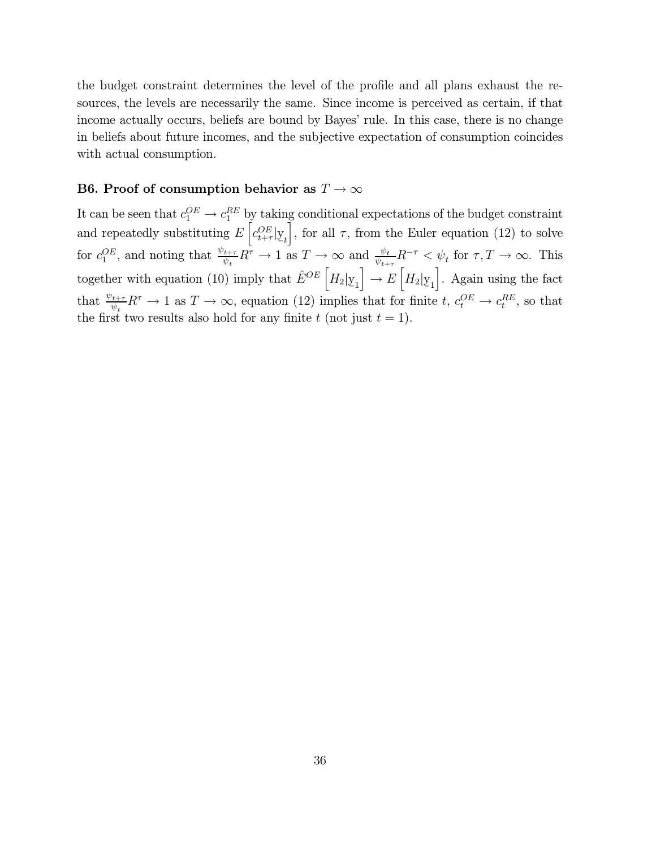the budget constraint determines the level of the profile and all plans exhaust the resources, the levels are necessarily the same. Since income is perceived as certain, if that income actually occurs, beliefs are bound by Bayes' rule. In this case, there is no change in beliefs about future incomes, and the subjective expectation of consumption coincides with actual consumption.

## B6. Proof of consumption behavior as  $T \to \infty$

It can be seen that  $c_1^{OE} \rightarrow c_1^{RE}$  by taking conditional expectations of the budget constraint and repeatedly substituting  $E\left[c_{t+\tau}^{OE}|\mathbf{y}_t\right]$ , for all  $\tau$ , from the Euler equation (12) to solve for  $c_1^{OE}$ , and noting that  $\frac{\psi_{t+\tau}}{\psi_t}R^{\tau} \to 1$  as  $T \to \infty$  and  $\frac{\psi_t}{\psi_{t+\tau}}R^{-\tau} < \psi_t$  for  $\tau, T \to \infty$ . This together with equation (10) imply that  $\hat{E}^{OE}$   $\left[H_2|_{\underline{y}_1}\right]$  $\Big] \rightarrow E \Big[ H_2 |_{\underline{Y}_1}$ . Again using the fact that  $\frac{\psi_{t+\tau}}{\psi_t}R^{\tau} \to 1$  as  $T \to \infty$ , equation (12) implies that for finite t,  $c_t^{OE} \to c_t^{RE}$ , so that the first two results also hold for any finite t (not just  $t = 1$ ).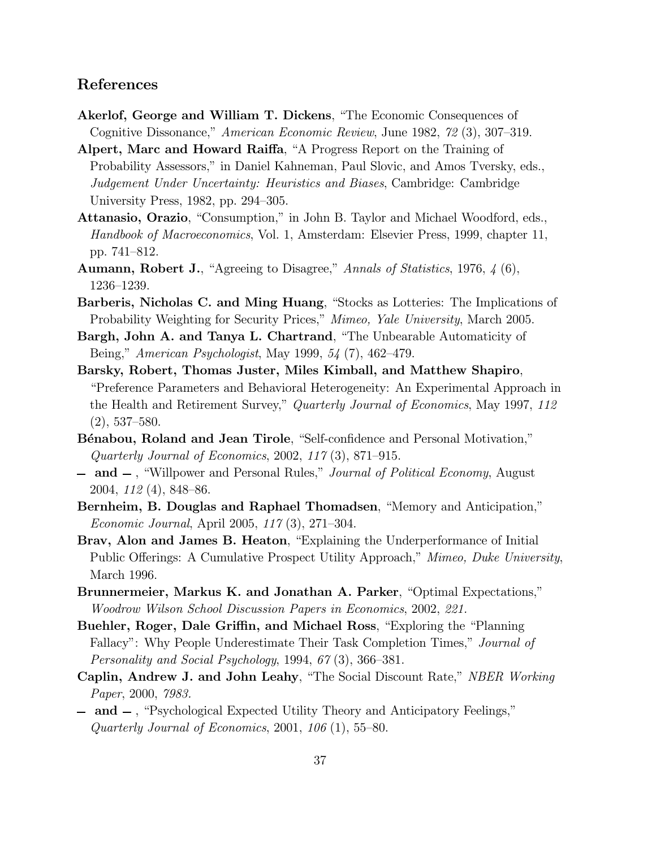## References

- Akerlof, George and William T. Dickens, "The Economic Consequences of Cognitive Dissonance," American Economic Review, June 1982, 72 (3), 307—319.
- Alpert, Marc and Howard Raiffa, "A Progress Report on the Training of Probability Assessors," in Daniel Kahneman, Paul Slovic, and Amos Tversky, eds., Judgement Under Uncertainty: Heuristics and Biases, Cambridge: Cambridge University Press, 1982, pp. 294—305.
- Attanasio, Orazio, "Consumption," in John B. Taylor and Michael Woodford, eds., Handbook of Macroeconomics, Vol. 1, Amsterdam: Elsevier Press, 1999, chapter 11, pp. 741—812.
- Aumann, Robert J., "Agreeing to Disagree," Annals of Statistics, 1976, 4 (6), 1236—1239.
- Barberis, Nicholas C. and Ming Huang, "Stocks as Lotteries: The Implications of Probability Weighting for Security Prices," Mimeo, Yale University, March 2005.
- Bargh, John A. and Tanya L. Chartrand, "The Unbearable Automaticity of Being," American Psychologist, May 1999, 54 (7), 462—479.
- Barsky, Robert, Thomas Juster, Miles Kimball, and Matthew Shapiro, "Preference Parameters and Behavioral Heterogeneity: An Experimental Approach in the Health and Retirement Survey," Quarterly Journal of Economics, May 1997, 112 (2), 537—580.
- Bénabou, Roland and Jean Tirole, "Self-confidence and Personal Motivation," Quarterly Journal of Economics, 2002, 117 (3), 871—915.
- and -, "Willpower and Personal Rules," *Journal of Political Economy*, August 2004, 112 (4), 848—86.
- Bernheim, B. Douglas and Raphael Thomadsen, "Memory and Anticipation," Economic Journal, April 2005, 117 (3), 271—304.
- Brav, Alon and James B. Heaton, "Explaining the Underperformance of Initial Public Offerings: A Cumulative Prospect Utility Approach," Mimeo, Duke University, March 1996.
- Brunnermeier, Markus K. and Jonathan A. Parker, "Optimal Expectations," Woodrow Wilson School Discussion Papers in Economics, 2002, 221.
- Buehler, Roger, Dale Griffin, and Michael Ross, "Exploring the "Planning Fallacy": Why People Underestimate Their Task Completion Times," *Journal of* Personality and Social Psychology, 1994, 67 (3), 366—381.
- Caplin, Andrew J. and John Leahy, "The Social Discount Rate," NBER Working Paper, 2000, 7983.
- and -, "Psychological Expected Utility Theory and Anticipatory Feelings," Quarterly Journal of Economics, 2001, 106 (1), 55—80.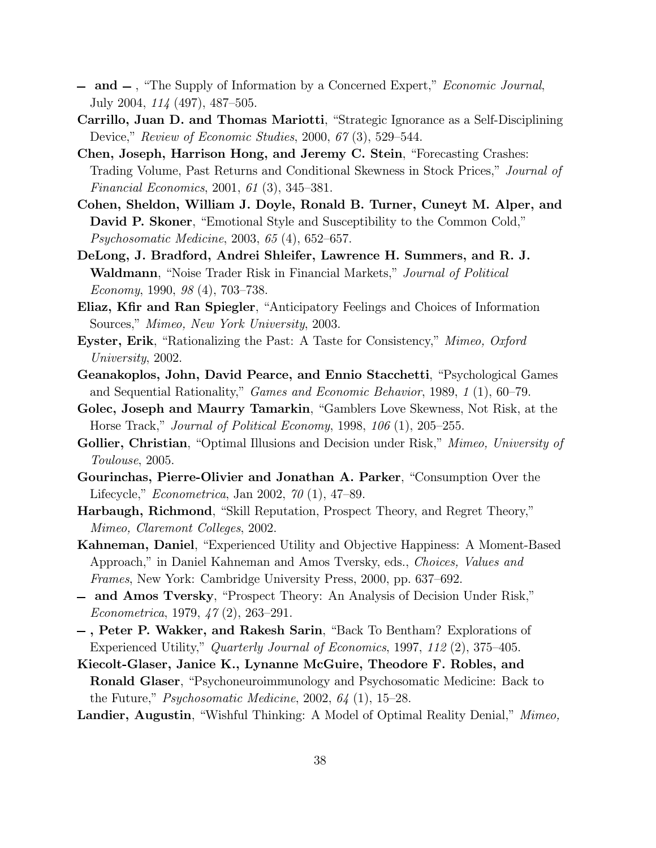- and -, "The Supply of Information by a Concerned Expert," *Economic Journal*, July 2004, 114 (497), 487—505.
- Carrillo, Juan D. and Thomas Mariotti, "Strategic Ignorance as a Self-Disciplining Device," Review of Economic Studies, 2000, 67 (3), 529—544.
- Chen, Joseph, Harrison Hong, and Jeremy C. Stein, "Forecasting Crashes: Trading Volume, Past Returns and Conditional Skewness in Stock Prices," Journal of Financial Economics, 2001, 61 (3), 345—381.
- Cohen, Sheldon, William J. Doyle, Ronald B. Turner, Cuneyt M. Alper, and David P. Skoner, "Emotional Style and Susceptibility to the Common Cold," Psychosomatic Medicine, 2003, 65 (4), 652—657.
- DeLong, J. Bradford, Andrei Shleifer, Lawrence H. Summers, and R. J. Waldmann, "Noise Trader Risk in Financial Markets," Journal of Political Economy, 1990, 98 (4), 703—738.
- Eliaz, Kfir and Ran Spiegler, "Anticipatory Feelings and Choices of Information Sources," Mimeo, New York University, 2003.
- Eyster, Erik, "Rationalizing the Past: A Taste for Consistency," Mimeo, Oxford University, 2002.
- Geanakoplos, John, David Pearce, and Ennio Stacchetti, "Psychological Games and Sequential Rationality," Games and Economic Behavior, 1989, 1 (1), 60—79.
- Golec, Joseph and Maurry Tamarkin, "Gamblers Love Skewness, Not Risk, at the Horse Track," Journal of Political Economy, 1998, 106 (1), 205—255.
- Gollier, Christian, "Optimal Illusions and Decision under Risk," *Mimeo, University of* Toulouse, 2005.
- Gourinchas, Pierre-Olivier and Jonathan A. Parker, "Consumption Over the Lifecycle," Econometrica, Jan 2002, 70 (1), 47—89.
- Harbaugh, Richmond, "Skill Reputation, Prospect Theory, and Regret Theory," Mimeo, Claremont Colleges, 2002.
- Kahneman, Daniel, "Experienced Utility and Objective Happiness: A Moment-Based Approach," in Daniel Kahneman and Amos Tversky, eds., Choices, Values and Frames, New York: Cambridge University Press, 2000, pp. 637—692.
- and Amos Tversky, "Prospect Theory: An Analysis of Decision Under Risk," Econometrica, 1979, 47 (2), 263—291.
- , Peter P. Wakker, and Rakesh Sarin, "Back To Bentham? Explorations of Experienced Utility," Quarterly Journal of Economics, 1997, 112 (2), 375—405.
- Kiecolt-Glaser, Janice K., Lynanne McGuire, Theodore F. Robles, and Ronald Glaser, "Psychoneuroimmunology and Psychosomatic Medicine: Back to the Future," *Psychosomatic Medicine*, 2002,  $64$  (1), 15–28.
- Landier, Augustin, "Wishful Thinking: A Model of Optimal Reality Denial," *Mimeo*,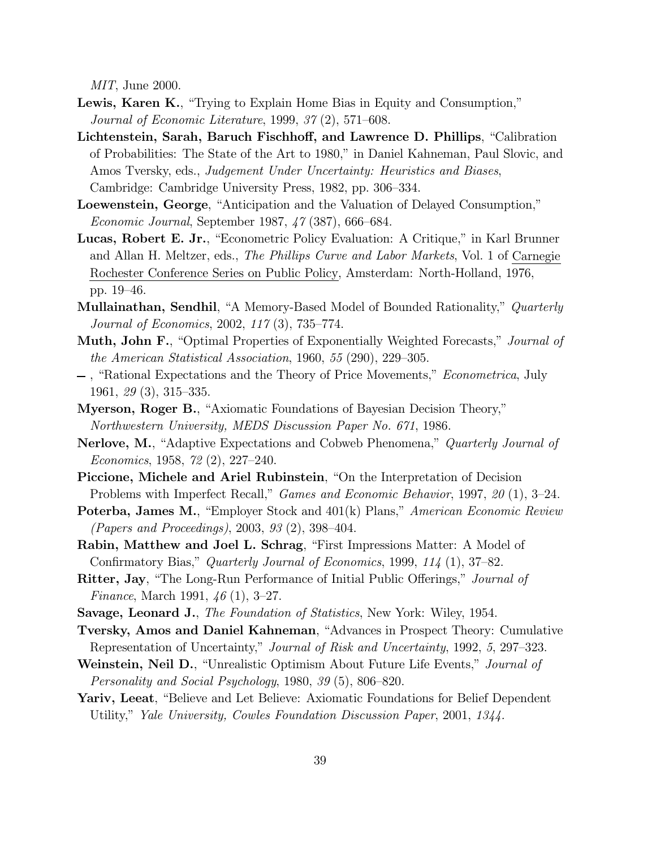MIT, June 2000.

- Lewis, Karen K., "Trying to Explain Home Bias in Equity and Consumption," Journal of Economic Literature, 1999, 37 (2), 571—608.
- Lichtenstein, Sarah, Baruch Fischhoff, and Lawrence D. Phillips, "Calibration of Probabilities: The State of the Art to 1980," in Daniel Kahneman, Paul Slovic, and Amos Tversky, eds., Judgement Under Uncertainty: Heuristics and Biases, Cambridge: Cambridge University Press, 1982, pp. 306—334.
- Loewenstein, George, "Anticipation and the Valuation of Delayed Consumption," Economic Journal, September 1987, 47 (387), 666—684.
- Lucas, Robert E. Jr., "Econometric Policy Evaluation: A Critique," in Karl Brunner and Allan H. Meltzer, eds., The Phillips Curve and Labor Markets, Vol. 1 of Carnegie Rochester Conference Series on Public Policy, Amsterdam: North-Holland, 1976, pp. 19—46.
- Mullainathan, Sendhil, "A Memory-Based Model of Bounded Rationality," Quarterly Journal of Economics, 2002, 117 (3), 735—774.
- Muth, John F., "Optimal Properties of Exponentially Weighted Forecasts," Journal of the American Statistical Association, 1960, 55 (290), 229—305.
- , "Rational Expectations and the Theory of Price Movements," Econometrica, July 1961, 29 (3), 315—335.
- Myerson, Roger B., "Axiomatic Foundations of Bayesian Decision Theory," Northwestern University, MEDS Discussion Paper No. 671, 1986.
- Nerlove, M., "Adaptive Expectations and Cobweb Phenomena," Quarterly Journal of Economics, 1958, 72 (2), 227—240.
- Piccione, Michele and Ariel Rubinstein, "On the Interpretation of Decision Problems with Imperfect Recall," Games and Economic Behavior, 1997, 20 (1), 3—24.
- Poterba, James M., "Employer Stock and 401(k) Plans," American Economic Review (Papers and Proceedings), 2003, 93 (2), 398—404.
- Rabin, Matthew and Joel L. Schrag, "First Impressions Matter: A Model of Confirmatory Bias," Quarterly Journal of Economics, 1999, 114 (1), 37—82.
- Ritter, Jay, "The Long-Run Performance of Initial Public Offerings," Journal of Finance, March 1991, 46 (1), 3—27.
- Savage, Leonard J., The Foundation of Statistics, New York: Wiley, 1954.
- Tversky, Amos and Daniel Kahneman, "Advances in Prospect Theory: Cumulative Representation of Uncertainty," Journal of Risk and Uncertainty, 1992, 5, 297—323.
- Weinstein, Neil D., "Unrealistic Optimism About Future Life Events," Journal of Personality and Social Psychology, 1980, 39 (5), 806—820.
- Yariv, Leeat, "Believe and Let Believe: Axiomatic Foundations for Belief Dependent Utility," Yale University, Cowles Foundation Discussion Paper, 2001, 1344.